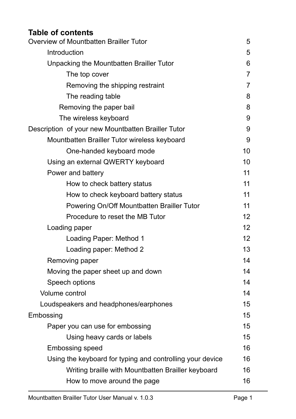# **Table of contents**

| Overview of Mountbatten Brailler Tutor                    | 5              |
|-----------------------------------------------------------|----------------|
| Introduction                                              | 5              |
| Unpacking the Mountbatten Brailler Tutor                  | 6              |
| The top cover                                             | $\overline{7}$ |
| Removing the shipping restraint                           | $\overline{7}$ |
| The reading table                                         | 8              |
| Removing the paper bail                                   | 8              |
| The wireless keyboard                                     | 9              |
| Description of your new Mountbatten Brailler Tutor        | 9              |
| Mountbatten Brailler Tutor wireless keyboard              | 9              |
| One-handed keyboard mode                                  | 10             |
| Using an external QWERTY keyboard                         | 10             |
| Power and battery                                         | 11             |
| How to check battery status                               | 11             |
| How to check keyboard battery status                      | 11             |
| Powering On/Off Mountbatten Brailler Tutor                | 11             |
| Procedure to reset the MB Tutor                           | 12             |
| Loading paper                                             | 12             |
| Loading Paper: Method 1                                   | 12             |
| Loading paper: Method 2                                   | 13             |
| Removing paper                                            | 14             |
| Moving the paper sheet up and down                        | 14             |
| Speech options                                            | 14             |
| <b>Volume control</b>                                     | 14             |
| Loudspeakers and headphones/earphones                     | 15             |
| Embossing                                                 | 15             |
| Paper you can use for embossing                           | 15             |
| Using heavy cards or labels                               | 15             |
| <b>Embossing speed</b>                                    | 16             |
| Using the keyboard for typing and controlling your device | 16             |
| Writing braille with Mountbatten Brailler keyboard        | 16             |
| How to move around the page                               | 16             |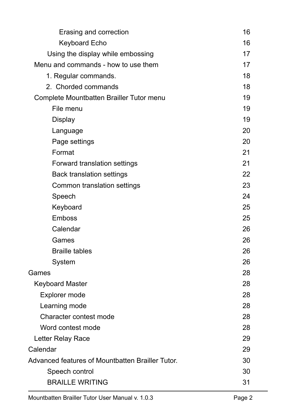| Erasing and correction                           | 16 |
|--------------------------------------------------|----|
| <b>Keyboard Echo</b>                             | 16 |
| Using the display while embossing                | 17 |
| Menu and commands - how to use them              | 17 |
| 1. Regular commands.                             | 18 |
| 2. Chorded commands                              | 18 |
| Complete Mountbatten Brailler Tutor menu         | 19 |
| File menu                                        | 19 |
| <b>Display</b>                                   | 19 |
| Language                                         | 20 |
| Page settings                                    | 20 |
| Format                                           | 21 |
| Forward translation settings                     | 21 |
| <b>Back translation settings</b>                 | 22 |
| Common translation settings                      | 23 |
| Speech                                           | 24 |
| Keyboard                                         | 25 |
| <b>Emboss</b>                                    | 25 |
| Calendar                                         | 26 |
| Games                                            | 26 |
| <b>Braille tables</b>                            | 26 |
| System                                           | 26 |
| Games                                            | 28 |
| <b>Keyboard Master</b>                           | 28 |
| Explorer mode                                    | 28 |
| Learning mode                                    | 28 |
| Character contest mode                           | 28 |
| Word contest mode                                | 28 |
| Letter Relay Race                                | 29 |
| Calendar                                         | 29 |
| Advanced features of Mountbatten Brailler Tutor. | 30 |
| Speech control                                   | 30 |
| <b>BRAILLE WRITING</b>                           | 31 |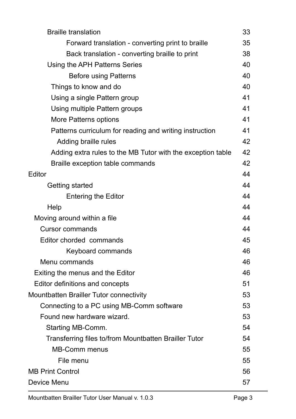| <b>Braille translation</b>                                  | 33 |
|-------------------------------------------------------------|----|
| Forward translation - converting print to braille           | 35 |
| Back translation - converting braille to print              | 38 |
| Using the APH Patterns Series                               | 40 |
| <b>Before using Patterns</b>                                | 40 |
| Things to know and do                                       | 40 |
| Using a single Pattern group                                | 41 |
| Using multiple Pattern groups                               | 41 |
| More Patterns options                                       | 41 |
| Patterns curriculum for reading and writing instruction     | 41 |
| Adding braille rules                                        | 42 |
| Adding extra rules to the MB Tutor with the exception table | 42 |
| Braille exception table commands                            | 42 |
| Editor                                                      | 44 |
| Getting started                                             | 44 |
| <b>Entering the Editor</b>                                  | 44 |
| Help                                                        | 44 |
| Moving around within a file                                 | 44 |
| <b>Cursor commands</b>                                      | 44 |
| Editor chorded commands                                     | 45 |
| Keyboard commands                                           | 46 |
| Menu commands                                               | 46 |
| Exiting the menus and the Editor                            | 46 |
| Editor definitions and concepts                             | 51 |
| Mountbatten Brailler Tutor connectivity                     | 53 |
| Connecting to a PC using MB-Comm software                   | 53 |
| Found new hardware wizard.                                  | 53 |
| Starting MB-Comm.                                           | 54 |
| Transferring files to/from Mountbatten Brailler Tutor       | 54 |
| <b>MB-Comm menus</b>                                        | 55 |
| File menu                                                   | 55 |
| <b>MB Print Control</b>                                     | 56 |
| Device Menu                                                 | 57 |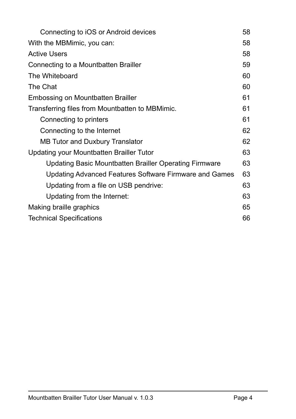| Connecting to iOS or Android devices                   | 58 |
|--------------------------------------------------------|----|
| With the MBMimic, you can:                             | 58 |
| <b>Active Users</b>                                    | 58 |
| Connecting to a Mountbatten Brailler                   | 59 |
| The Whiteboard                                         | 60 |
| The Chat                                               | 60 |
| Embossing on Mountbatten Brailler                      | 61 |
| Transferring files from Mountbatten to MBMimic.        | 61 |
| Connecting to printers                                 | 61 |
| Connecting to the Internet                             | 62 |
| <b>MB Tutor and Duxbury Translator</b>                 | 62 |
| Updating your Mountbatten Brailler Tutor               | 63 |
| Updating Basic Mountbatten Brailler Operating Firmware | 63 |
| Updating Advanced Features Software Firmware and Games | 63 |
| Updating from a file on USB pendrive:                  | 63 |
| Updating from the Internet:                            | 63 |
| Making braille graphics                                | 65 |
| <b>Technical Specifications</b>                        | 66 |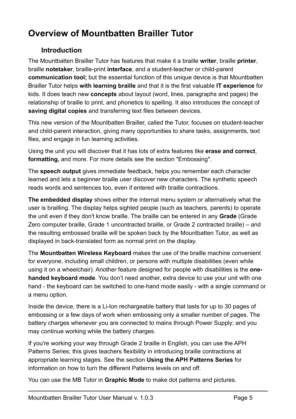# <span id="page-5-0"></span>**Overview of Mountbatten Brailler Tutor**

# <span id="page-5-1"></span>**Introduction**

The Mountbatten Brailler Tutor has features that make it a braille **writer**, braille **printer**, braille **notetaker**, braille-print **interface**, and a student-teacher or child-parent **communication tool;** but the essential function of this unique device is that Mountbatten Brailler Tutor helps **with learning braille** and that it is the first valuable **IT experience** for kids. It does teach new **concepts** about layout (word, lines, paragraphs and pages) the relationship of braille to print, and phonetics to spelling. It also introduces the concept of **saving digital copies** and transferring text files between devices.

This new version of the Mountbatten Brailler, called the Tutor, focuses on student-teacher and child-parent interaction, giving many opportunities to share tasks, assignments, text files, and engage in fun learning activities.

Using the unit you will discover that it has lots of extra features like **erase and correct**, **formatting,** and more. For more details see the section "Embossing".

The **speech output** gives immediate feedback, helps you remember each character learned and lets a beginner braille user discover new characters. The synthetic speech reads words and sentences too, even if entered with braille contractions.

**The embedded display** shows either the internal menu system or alternatively what the user is brailling. The display helps sighted people (such as teachers, parents) to operate the unit even if they don't know braille. The braille can be entered in any **Grade** (Grade Zero computer braille, Grade 1 uncontracted braille, or Grade 2 contracted braille) – and the resulting embossed braille will be spoken back by the Mountbatten Tutor, as well as displayed in back-translated form as normal print on the display.

The **Mountbatten Wireless Keyboard** makes the use of the braille machine convenient for everyone, including small children, or persons with multiple disabilities (even while using it on a wheelchair). Another feature designed for people with disabilities is the **onehanded keyboard mode**. You don't need another, extra device to use your unit with one hand - the keyboard can be switched to one-hand mode easily - with a single command or a menu option.

Inside the device, there is a Li-Ion rechargeable battery that lasts for up to 30 pages of embossing or a few days of work when embossing only a smaller number of pages. The battery charges whenever you are connected to mains through Power Supply; and you may continue working while the battery charges.

If you're working your way through Grade 2 braille in English, you can use the APH Patterns Series; this gives teachers flexibility in introducing braille contractions at appropriate learning stages. See the section **Using the APH Patterns Series** for information on how to turn the different Patterns levels on and off.

You can use the MB Tutor in **Graphic Mode** to make dot patterns and pictures.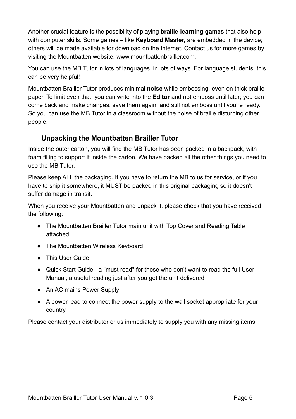Another crucial feature is the possibility of playing **braille-learning games** that also help with computer skills. Some games – like **Keyboard Master,** are embedded in the device; others will be made available for download on the Internet. Contact us for more games by visiting the Mountbatten website, www.mountbattenbrailler.com.

You can use the MB Tutor in lots of languages, in lots of ways. For language students, this can be very helpful!

Mountbatten Brailler Tutor produces minimal **noise** while embossing, even on thick braille paper. To limit even that, you can write into the **Editor** and not emboss until later; you can come back and make changes, save them again, and still not emboss until you're ready. So you can use the MB Tutor in a classroom without the noise of braille disturbing other people.

# <span id="page-6-0"></span>**Unpacking the Mountbatten Brailler Tutor**

Inside the outer carton, you will find the MB Tutor has been packed in a backpack, with foam filling to support it inside the carton. We have packed all the other things you need to use the MB Tutor.

Please keep ALL the packaging. If you have to return the MB to us for service, or if you have to ship it somewhere, it MUST be packed in this original packaging so it doesn't suffer damage in transit.

When you receive your Mountbatten and unpack it, please check that you have received the following:

- The Mountbatten Brailler Tutor main unit with Top Cover and Reading Table attached
- The Mountbatten Wireless Keyboard
- This User Guide
- Quick Start Guide a "must read" for those who don't want to read the full User Manual; a useful reading just after you get the unit delivered
- An AC mains Power Supply
- A power lead to connect the power supply to the wall socket appropriate for your country

Please contact your distributor or us immediately to supply you with any missing items.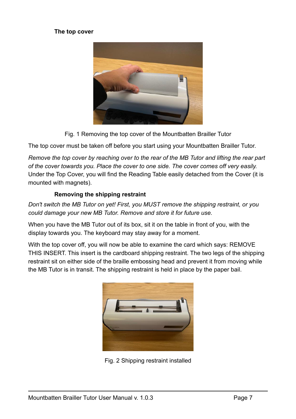#### <span id="page-7-0"></span>**The top cover**



Fig. 1 Removing the top cover of the Mountbatten Brailler Tutor

The top cover must be taken off before you start using your Mountbatten Brailler Tutor.

*Remove the top cover by reaching over to the rear of the MB Tutor and lifting the rear part of the cover towards you. Place the cover to one side. The cover comes off very easily.*  Under the Top Cover, you will find the Reading Table easily detached from the Cover (it is mounted with magnets).

#### <span id="page-7-1"></span>**Removing the shipping restraint**

*Don't switch the MB Tutor on yet! First, you MUST remove the shipping restraint, or you could damage your new MB Tutor. Remove and store it for future use.*

When you have the MB Tutor out of its box, sit it on the table in front of you, with the display towards you. The keyboard may stay away for a moment.

With the top cover off, you will now be able to examine the card which says: REMOVE THIS INSERT. This insert is the cardboard shipping restraint. The two legs of the shipping restraint sit on either side of the braille embossing head and prevent it from moving while the MB Tutor is in transit. The shipping restraint is held in place by the paper bail.



Fig. 2 Shipping restraint installed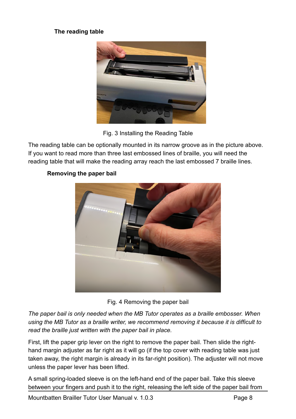#### <span id="page-8-0"></span>**The reading table**



Fig. 3 Installing the Reading Table

The reading table can be optionally mounted in its narrow groove as in the picture above. If you want to read more than three last embossed lines of braille, you will need the reading table that will make the reading array reach the last embossed 7 braille lines.



## <span id="page-8-1"></span>**Removing the paper bail**

Fig. 4 Removing the paper bail

*The paper bail is only needed when the MB Tutor operates as a braille embosser. When using the MB Tutor as a braille writer, we recommend removing it because it is difficult to read the braille just written with the paper bail in place.*

First, lift the paper grip lever on the right to remove the paper bail. Then slide the righthand margin adjuster as far right as it will go (if the top cover with reading table was just taken away, the right margin is already in its far-right position). The adjuster will not move unless the paper lever has been lifted.

A small spring-loaded sleeve is on the left-hand end of the paper bail. Take this sleeve between your fingers and push it to the right, releasing the left side of the paper bail from

Mountbatten Brailler Tutor User Manual v. 1.0.3 Page 8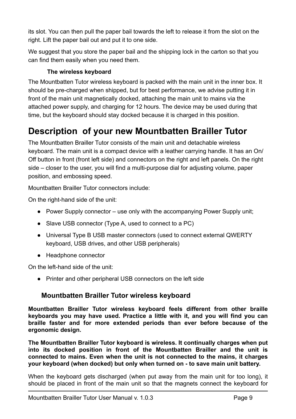its slot. You can then pull the paper bail towards the left to release it from the slot on the right. Lift the paper bail out and put it to one side.

We suggest that you store the paper bail and the shipping lock in the carton so that you can find them easily when you need them.

# <span id="page-9-0"></span>**The wireless keyboard**

The Mountbatten Tutor wireless keyboard is packed with the main unit in the inner box. It should be pre-charged when shipped, but for best performance, we advise putting it in front of the main unit magnetically docked, attaching the main unit to mains via the attached power supply, and charging for 12 hours. The device may be used during that time, but the keyboard should stay docked because it is charged in this position.

# <span id="page-9-1"></span>**Description of your new Mountbatten Brailler Tutor**

The Mountbatten Brailler Tutor consists of the main unit and detachable wireless keyboard. The main unit is a compact device with a leather carrying handle. It has an On/ Off button in front (front left side) and connectors on the right and left panels. On the right side – closer to the user, you will find a multi-purpose dial for adjusting volume, paper position, and embossing speed.

Mountbatten Brailler Tutor connectors include:

On the right-hand side of the unit:

- Power Supply connector use only with the accompanying Power Supply unit;
- Slave USB connector (Type A, used to connect to a PC)
- Universal Type B USB master connectors (used to connect external QWERTY keyboard, USB drives, and other USB peripherals)
- Headphone connector

On the left-hand side of the unit:

● Printer and other peripheral USB connectors on the left side

# <span id="page-9-2"></span>**Mountbatten Brailler Tutor wireless keyboard**

**Mountbatten Brailler Tutor wireless keyboard feels different from other braille keyboards you may have used. Practice a little with it, and you will find you can braille faster and for more extended periods than ever before because of the ergonomic design.**

**The Mountbatten Brailler Tutor keyboard is wireless. It continually charges when put into its docked position in front of the Mountbatten Brailler and the unit is connected to mains. Even when the unit is not connected to the mains, it charges your keyboard (when docked) but only when turned on - to save main unit battery.**

When the keyboard gets discharged (when put away from the main unit for too long), it should be placed in front of the main unit so that the magnets connect the keyboard for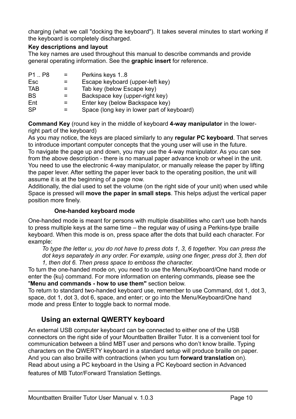charging (what we call "docking the keyboard"). It takes several minutes to start working if the keyboard is completely discharged.

#### **Key descriptions and layout**

The key names are used throughout this manual to describe commands and provide general operating information. See the **graphic insert** for reference.

| P <sub>1</sub> P <sub>8</sub> | $=$ $-$ | Perkins keys 1.8                           |
|-------------------------------|---------|--------------------------------------------|
| Esc                           |         | Escape keyboard (upper-left key)           |
| <b>TAB</b>                    |         | Tab key (below Escape key)                 |
| <b>BS</b>                     |         | Backspace key (upper-right key)            |
| Ent                           |         | Enter key (below Backspace key)            |
| <b>SP</b>                     |         | Space (long key in lower part of keyboard) |

**Command Key** (round key in the middle of keyboard **4-way manipulator** in the lowerright part of the keyboard)

As you may notice, the keys are placed similarly to any **regular PC keyboard**. That serves to introduce important computer concepts that the young user will use in the future. To navigate the page up and down, you may use the 4-way manipulator. As you can see from the above description - there is no manual paper advance knob or wheel in the unit. You need to use the electronic 4-way manipulator, or manually release the paper by lifting the paper lever. After setting the paper lever back to the operating position, the unit will

assume it is at the beginning of a page now.

Additionally, the dial used to set the volume (on the right side of your unit) when used while Space is pressed will **move the paper in small steps**. This helps adjust the vertical paper position more finely.

#### <span id="page-10-0"></span>**One-handed keyboard mode**

One-handed mode is meant for persons with multiple disabilities who can't use both hands to press multiple keys at the same time – the regular way of using a Perkins-type braille keyboard. When this mode is on, press space after the dots that build each character. For example:

*To type the letter u, you do not have to press dots 1, 3, 6 together. You can press the dot keys separately in any order. For example, using one finger, press dot 3, then dot 1, then dot 6. Then press space to emboss the character.*

To turn the one-handed mode on, you need to use the Menu/Keyboard/One hand mode or enter the {ku} command. For more information on entering commands, please see the "**Menu and commands - how to use them"** section below.

To return to standard two-handed keyboard use, remember to use Command, dot 1, dot 3, space, dot 1, dot 3, dot 6, space, and enter; or go into the Menu/Keyboard/One hand mode and press Enter to toggle back to normal mode.

# <span id="page-10-1"></span>**Using an external QWERTY keyboard**

An external USB computer keyboard can be connected to either one of the USB connectors on the right side of your Mountbatten Brailler Tutor. It is a convenient tool for communication between a blind MBT user and persons who don't know braille. Typing characters on the QWERTY keyboard in a standard setup will produce braille on paper. And you can also braille with contractions (when you turn **forward translation** on). Read about using a PC keyboard in the Using a PC Keyboard section in Advanced features of MB Tutor/Forward Translation Settings.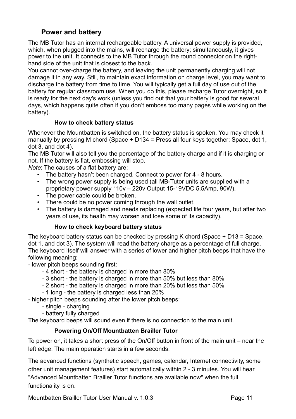# <span id="page-11-0"></span>**Power and battery**

The MB Tutor has an internal rechargeable battery. A universal power supply is provided, which, when plugged into the mains, will recharge the battery; simultaneously, it gives power to the unit. It connects to the MB Tutor through the round connector on the righthand side of the unit that is closest to the back.

You cannot over-charge the battery, and leaving the unit permanently charging will not damage it in any way. Still, to maintain exact information on charge level, you may want to discharge the battery from time to time. You will typically get a full day of use out of the battery for regular classroom use. When you do this, please recharge Tutor overnight, so it is ready for the next day's work (unless you find out that your battery is good for several days, which happens quite often if you don't emboss too many pages while working on the battery).

#### <span id="page-11-1"></span>**How to check battery status**

Whenever the Mountbatten is switched on, the battery status is spoken. You may check it manually by pressing M chord (Space + D134 = Press all four keys together: Space, dot 1, dot 3, and dot 4).

The MB Tutor will also tell you the percentage of the battery charge and if it is charging or not. If the battery is flat, embossing will stop.

*Note*: The causes of a flat battery are:

- The battery hasn't been charged. Connect to power for 4 8 hours.<br>• The wrong power supply is being used (all MB-Tutor units are supply
- The wrong power supply is being used (all MB-Tutor units are supplied with a proprietary power supply 110v – 220v Output 15-19VDC 5.5Amp, 90W).
- The power cable could be broken.
- There could be no power coming through the wall outlet.
- The battery is damaged and needs replacing (expected life four years, but after two years of use, its health may worsen and lose some of its capacity).

#### <span id="page-11-2"></span>**How to check keyboard battery status**

The keyboard battery status can be checked by pressing K chord (Space + D13 = Space, dot 1, and dot 3). The system will read the battery charge as a percentage of full charge. The keyboard itself will answer with a series of lower and higher pitch beeps that have the following meaning:

- lower pitch beeps sounding first:

- 4 short the battery is charged in more than 80%
- 3 short the battery is charged in more than 50% but less than 80%
- 2 short the battery is charged in more than 20% but less than 50%
- 1 long the battery is charged less than 20%

- higher pitch beeps sounding after the lower pitch beeps:

- single charging
- battery fully charged

The keyboard beeps will sound even if there is no connection to the main unit.

#### <span id="page-11-3"></span>**Powering On/Off Mountbatten Brailler Tutor**

To power on, it takes a short press of the On/Off button in front of the main unit – near the left edge. The main operation starts in a few seconds.

The advanced functions (synthetic speech, games, calendar, Internet connectivity, some other unit management features) start automatically within 2 - 3 minutes. You will hear "Advanced Mountbatten Brailler Tutor functions are available now" when the full functionality is on.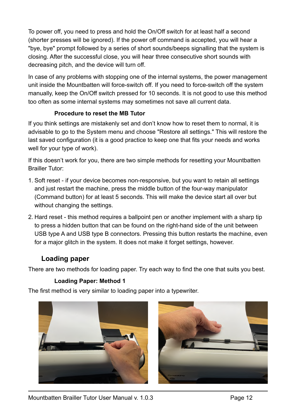To power off, you need to press and hold the On/Off switch for at least half a second (shorter presses will be ignored). If the power off command is accepted, you will hear a "bye, bye" prompt followed by a series of short sounds/beeps signalling that the system is closing. After the successful close, you will hear three consecutive short sounds with decreasing pitch, and the device will turn off.

In case of any problems with stopping one of the internal systems, the power management unit inside the Mountbatten will force-switch off. If you need to force-switch off the system manually, keep the On/Off switch pressed for 10 seconds. It is not good to use this method too often as some internal systems may sometimes not save all current data.

#### <span id="page-12-0"></span>**Procedure to reset the MB Tutor**

If you think settings are mistakenly set and don't know how to reset them to normal, it is advisable to go to the System menu and choose "Restore all settings." This will restore the last saved configuration (it is a good practice to keep one that fits your needs and works well for your type of work).

If this doesn't work for you, there are two simple methods for resetting your Mountbatten Brailler Tutor:

- 1. Soft reset if your device becomes non-responsive, but you want to retain all settings and just restart the machine, press the middle button of the four-way manipulator (Command button) for at least 5 seconds. This will make the device start all over but without changing the settings.
- 2. Hard reset this method requires a ballpoint pen or another implement with a sharp tip to press a hidden button that can be found on the right-hand side of the unit between USB type A and USB type B connectors. Pressing this button restarts the machine, even for a major glitch in the system. It does not make it forget settings, however.

# <span id="page-12-1"></span>**Loading paper**

There are two methods for loading paper. Try each way to find the one that suits you best.

# <span id="page-12-2"></span>**Loading Paper: Method 1**

The first method is very similar to loading paper into a typewriter.



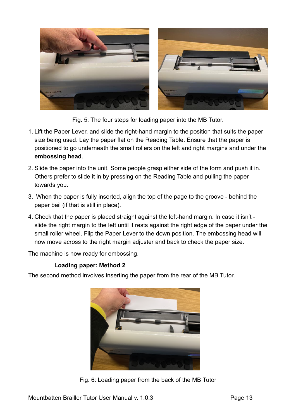

Fig. 5: The four steps for loading paper into the MB Tutor.

- 1. Lift the Paper Lever, and slide the right-hand margin to the position that suits the paper size being used. Lay the paper flat on the Reading Table. Ensure that the paper is positioned to go underneath the small rollers on the left and right margins and under the **embossing head**.
- 2. Slide the paper into the unit. Some people grasp either side of the form and push it in. Others prefer to slide it in by pressing on the Reading Table and pulling the paper towards you.
- 3. When the paper is fully inserted, align the top of the page to the groove behind the paper bail (if that is still in place).
- 4. Check that the paper is placed straight against the left-hand margin. In case it isn't slide the right margin to the left until it rests against the right edge of the paper under the small roller wheel. Flip the Paper Lever to the down position. The embossing head will now move across to the right margin adjuster and back to check the paper size.

The machine is now ready for embossing.

#### <span id="page-13-0"></span>**Loading paper: Method 2**

The second method involves inserting the paper from the rear of the MB Tutor.



Fig. 6: Loading paper from the back of the MB Tutor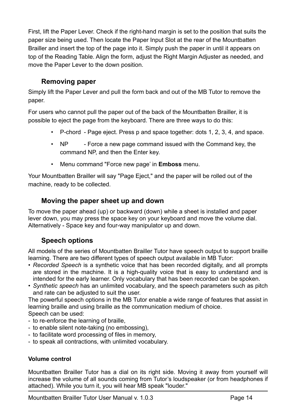First, lift the Paper Lever. Check if the right-hand margin is set to the position that suits the paper size being used. Then locate the Paper Input Slot at the rear of the Mountbatten Brailler and insert the top of the page into it. Simply push the paper in until it appears on top of the Reading Table. Align the form, adjust the Right Margin Adjuster as needed, and move the Paper Lever to the down position.

# <span id="page-14-0"></span>**Removing paper**

Simply lift the Paper Lever and pull the form back and out of the MB Tutor to remove the paper.

For users who cannot pull the paper out of the back of the Mountbatten Brailler, it is possible to eject the page from the keyboard. There are three ways to do this:

- P-chord Page eject. Press p and space together: dots 1, 2, 3, 4, and space.
- NP Force a new page command issued with the Command key, the command NP, and then the Enter key.
- Menu command "Force new page' in **Emboss** menu.

Your Mountbatten Brailler will say "Page Eject," and the paper will be rolled out of the machine, ready to be collected.

# <span id="page-14-1"></span>**Moving the paper sheet up and down**

To move the paper ahead (up) or backward (down) while a sheet is installed and paper lever down, you may press the space key on your keyboard and move the volume dial. Alternatively - Space key and four-way manipulator up and down.

# <span id="page-14-2"></span>**Speech options**

All models of the series of Mountbatten Brailler Tutor have speech output to support braille learning. There are two different types of speech output available in MB Tutor:

- *Recorded Speech* is a synthetic voice that has been recorded digitally, and all prompts are stored in the machine. It is a high-quality voice that is easy to understand and is intended for the early learner. Only vocabulary that has been recorded can be spoken.
- *Synthetic speech* has an unlimited vocabulary, and the speech parameters such as pitch and rate can be adjusted to suit the user.

The powerful speech options in the MB Tutor enable a wide range of features that assist in learning braille and using braille as the communication medium of choice. Speech can be used:

- 
- to re-enforce the learning of braille,
- to enable silent note-taking (no embossing),
- to facilitate word processing of files in memory,
- to speak all contractions, with unlimited vocabulary.

#### <span id="page-14-3"></span>**Volume control**

Mountbatten Brailler Tutor has a dial on its right side. Moving it away from yourself will increase the volume of all sounds coming from Tutor's loudspeaker (or from headphones if attached). While you turn it, you will hear MB speak "louder."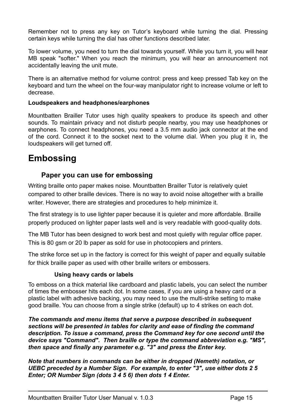Remember not to press any key on Tutor's keyboard while turning the dial. Pressing certain keys while turning the dial has other functions described later.

To lower volume, you need to turn the dial towards yourself. While you turn it, you will hear MB speak "softer." When you reach the minimum, you will hear an announcement not accidentally leaving the unit mute.

There is an alternative method for volume control: press and keep pressed Tab key on the keyboard and turn the wheel on the four-way manipulator right to increase volume or left to decrease.

#### <span id="page-15-0"></span>**Loudspeakers and headphones/earphones**

Mountbatten Brailler Tutor uses high quality speakers to produce its speech and other sounds. To maintain privacy and not disturb people nearby, you may use headphones or earphones. To connect headphones, you need a 3.5 mm audio jack connector at the end of the cord. Connect it to the socket next to the volume dial. When you plug it in, the loudspeakers will get turned off.

# <span id="page-15-1"></span>**Embossing**

#### <span id="page-15-2"></span>**Paper you can use for embossing**

Writing braille onto paper makes noise. Mountbatten Brailler Tutor is relatively quiet compared to other braille devices. There is no way to avoid noise altogether with a braille writer. However, there are strategies and procedures to help minimize it.

The first strategy is to use lighter paper because it is quieter and more affordable. Braille properly produced on lighter paper lasts well and is very readable with good-quality dots.

The MB Tutor has been designed to work best and most quietly with regular office paper. This is 80 gsm or 20 lb paper as sold for use in photocopiers and printers.

The strike force set up in the factory is correct for this weight of paper and equally suitable for thick braille paper as used with other braille writers or embossers.

#### <span id="page-15-3"></span>**Using heavy cards or labels**

To emboss on a thick material like cardboard and plastic labels, you can select the number of times the embosser hits each dot. In some cases, if you are using a heavy card or a plastic label with adhesive backing, you may need to use the multi-strike setting to make good braille. You can choose from a single strike (default) up to 4 strikes on each dot.

*The commands and menu items that serve a purpose described in subsequent sections will be presented in tables for clarity and ease of finding the command description. To issue a command, press the Command key for one second until the device says "Command". Then braille or type the command abbreviation e.g. "MS", then space and finally any parameter e.g. "3" and press the Enter key.*

*Note that numbers in commands can be either in dropped (Nemeth) notation, or UEBC preceded by a Number Sign. For example, to enter "3", use either dots 2 5 Enter; OR Number Sign (dots 3 4 5 6) then dots 1 4 Enter.*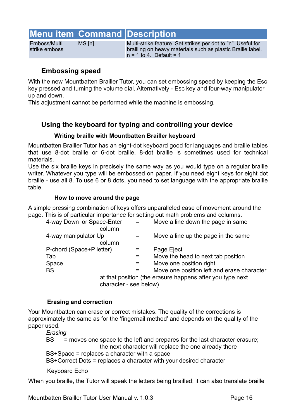# **Menu item Command Description**

Emboss/Multi strike emboss

MS [n] Multi-strike feature. Set strikes per dot to "n". Useful for brailling on heavy materials such as plastic Braille label.  $n = 1$  to 4. Default = 1

## <span id="page-16-0"></span>**Embossing speed**

With the new Mountbatten Brailler Tutor, you can set embossing speed by keeping the Esc key pressed and turning the volume dial. Alternatively - Esc key and four-way manipulator up and down.

This adjustment cannot be performed while the machine is embossing.

# <span id="page-16-1"></span>**Using the keyboard for typing and controlling your device**

#### <span id="page-16-2"></span>**Writing braille with Mountbatten Brailler keyboard**

Mountbatten Brailler Tutor has an eight-dot keyboard good for languages and braille tables that use 8-dot braille or 6-dot braille. 8-dot braille is sometimes used for technical materials.

Use the six braille keys in precisely the same way as you would type on a regular braille writer. Whatever you type will be embossed on paper. If you need eight keys for eight dot braille - use all 8. To use 6 or 8 dots, you need to set language with the appropriate braille table.

#### <span id="page-16-3"></span>**How to move around the page**

A simple pressing combination of keys offers unparalleled ease of movement around the page. This is of particular importance for setting out math problems and columns.

| 4-way Down or Space-Enter<br>column | $\equiv$ | Move a line down the page in same                         |
|-------------------------------------|----------|-----------------------------------------------------------|
| 4-way manipulator Up<br>column      |          | Move a line up the page in the same                       |
| P-chord (Space+P letter)            |          | Page Eject                                                |
| Tab                                 |          | Move the head to next tab position                        |
| Space                               |          | Move one position right                                   |
| <b>BS</b>                           |          | Move one position left and erase character                |
|                                     |          | at that position (the erasure happens after you type next |
| character - see below)              |          |                                                           |

#### <span id="page-16-4"></span>**Erasing and correction**

Your Mountbatten can erase or correct mistakes. The quality of the corrections is approximately the same as for the 'fingernail method' and depends on the quality of the paper used.

*Erasing*

BS = moves one space to the left and prepares for the last character erasure; the next character will replace the one already there BS+Space = replaces a character with a space BS+Correct Dots = replaces a character with your desired character

<span id="page-16-5"></span>Keyboard Echo

When you braille, the Tutor will speak the letters being brailled; it can also translate braille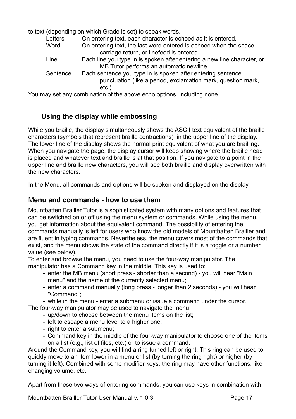to text (depending on which Grade is set) to speak words.

| On entering text, each character is echoed as it is entered.            |
|-------------------------------------------------------------------------|
| On entering text, the last word entered is echoed when the space,       |
|                                                                         |
| Each line you type in is spoken after entering a new line character, or |
|                                                                         |
| Each sentence you type in is spoken after entering sentence             |
| punctuation (like a period, exclamation mark, question mark,            |
|                                                                         |
|                                                                         |

You may set any combination of the above echo options, including none.

# <span id="page-17-0"></span>**Using the display while embossing**

While you braille, the display simultaneously shows the ASCII text equivalent of the braille characters (symbols that represent braille contractions) in the upper line of the display. The lower line of the display shows the normal print equivalent of what you are brailling. When you navigate the page, the display cursor will keep showing where the braille head is placed and whatever text and braille is at that position. If you navigate to a point in the upper line and braille new characters, you will see both braille and display overwritten with the new characters.

In the Menu, all commands and options will be spoken and displayed on the display.

## <span id="page-17-1"></span>M**enu and commands - how to use them**

Mountbatten Brailler Tutor is a sophisticated system with many options and features that can be switched on or off using the menu system or commands. While using the menu, you get information about the equivalent command. The possibility of entering the commands manually is left for users who know the old models of Mountbatten Brailler and are fluent in typing commands. Nevertheless, the menu covers most of the commands that exist, and the menu shows the state of the command directly if it is a toggle or a number value (see below).

To enter and browse the menu, you need to use the four-way manipulator. The manipulator has a Command key in the middle. This key is used to:

- enter the MB menu (short press shorter than a second) you will hear "Main menu" and the name of the currently selected menu;
- enter a command manually (long press longer than 2 seconds) you will hear "Command";
- while in the menu enter a submenu or issue a command under the cursor.

The four-way manipulator may be used to navigate the menu:

- up/down to choose between the menu items on the list;
- left to escape a menu level to a higher one;
- right to enter a submenu;
- Command key in the middle of the four-way manipulator to choose one of the items on a list (e.g., list of files, etc.) or to issue a command.

Around the Command key, you will find a ring turned left or right. This ring can be used to quickly move to an item lower in a menu or list (by turning the ring right) or higher (by turning it left). Combined with some modifier keys, the ring may have other functions, like changing volume, etc.

Apart from these two ways of entering commands, you can use keys in combination with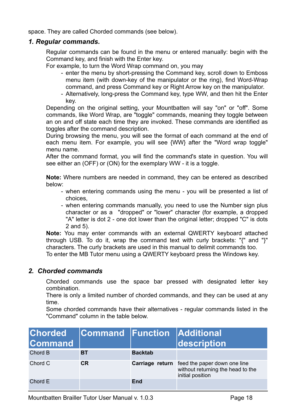space. They are called Chorded commands (see below).

#### <span id="page-18-0"></span>*1. Regular commands.*

Regular commands can be found in the menu or entered manually: begin with the Command key, and finish with the Enter key.

For example, to turn the Word Wrap command on, you may

- enter the menu by short-pressing the Command key, scroll down to Emboss menu item (with down-key of the manipulator or the ring), find Word-Wrap command, and press Command key or Right Arrow key on the manipulator.
- Alternatively, long-press the Command key, type WW, and then hit the Enter key.

Depending on the original setting, your Mountbatten will say "on" or "off". Some commands, like Word Wrap, are "toggle" commands, meaning they toggle between an on and off state each time they are invoked. These commands are identified as toggles after the command description.

During browsing the menu, you will see the format of each command at the end of each menu item. For example, you will see {WW} after the "Word wrap toggle" menu name.

After the command format, you will find the command's state in question. You will see either an (OFF) or (ON) for the exemplary WW - it is a toggle.

**Note:** Where numbers are needed in command, they can be entered as described below:

- when entering commands using the menu you will be presented a list of choices,
- when entering commands manually, you need to use the Number sign plus character or as a "dropped" or "lower" character (for example, a dropped "A" letter is dot 2 - one dot lower than the original letter; dropped "C" is dots 2 and 5).

**Note:** You may enter commands with an external QWERTY keyboard attached through USB. To do it, wrap the command text with curly brackets: "{" and "}" characters. The curly brackets are used in this manual to delimit commands too. To enter the MB Tutor menu using a QWERTY keyboard press the Windows key.

#### <span id="page-18-1"></span>*2. Chorded commands*

Chorded commands use the space bar pressed with designated letter key combination.

There is only a limited number of chorded commands, and they can be used at any time.

Some chorded commands have their alternatives - regular commands listed in the "Command" column in the table below.

| <b>Chorded</b><br><b>Command</b> | <b>Command Function Additional</b> |                | description                                                                                                  |
|----------------------------------|------------------------------------|----------------|--------------------------------------------------------------------------------------------------------------|
| Chord B                          | <b>BT</b>                          | <b>Backtab</b> |                                                                                                              |
| Chord C                          | <b>CR</b>                          |                | <b>Carriage return</b> feed the paper down one line<br>without returning the head to the<br>initial position |
| Chord E                          |                                    | <b>End</b>     |                                                                                                              |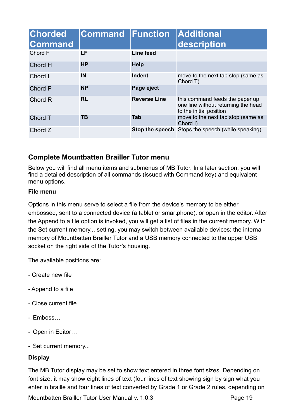| <b>Chorded</b><br><b>Command</b> | <b>Command Function</b> |                     | <b>Additional</b><br>description                                                                  |
|----------------------------------|-------------------------|---------------------|---------------------------------------------------------------------------------------------------|
| Chord F                          | LF                      | Line feed           |                                                                                                   |
| Chord H                          | <b>HP</b>               | <b>Help</b>         |                                                                                                   |
| Chord I                          | IN                      | <b>Indent</b>       | move to the next tab stop (same as<br>Chord T)                                                    |
| Chord P                          | <b>NP</b>               | Page eject          |                                                                                                   |
| Chord R                          | <b>RL</b>               | <b>Reverse Line</b> | this command feeds the paper up<br>one line without returning the head<br>to the initial position |
| Chord T                          | <b>TB</b>               | <b>Tab</b>          | move to the next tab stop (same as<br>Chord I)                                                    |
| Chord Z                          |                         |                     | Stop the speech Stops the speech (while speaking)                                                 |

# <span id="page-19-0"></span>**Complete Mountbatten Brailler Tutor menu**

Below you will find all menu items and submenus of MB Tutor. In a later section, you will find a detailed description of all commands (issued with Command key) and equivalent menu options.

#### <span id="page-19-1"></span>**File menu**

Options in this menu serve to select a file from the device's memory to be either embossed, sent to a connected device (a tablet or smartphone), or open in the editor. After the Append to a file option is invoked, you will get a list of files in the current memory. With the Set current memory... setting, you may switch between available devices: the internal memory of Mountbatten Brailler Tutor and a USB memory connected to the upper USB socket on the right side of the Tutor's housing.

The available positions are:

- Create new file
- Append to a file
- Close current file
- Emboss…
- Open in Editor…
- Set current memory...

#### <span id="page-19-2"></span>**Display**

The MB Tutor display may be set to show text entered in three font sizes. Depending on font size, it may show eight lines of text (four lines of text showing sign by sign what you enter in braille and four lines of text converted by Grade 1 or Grade 2 rules, depending on

Mountbatten Brailler Tutor User Manual v. 1.0.3 Page 19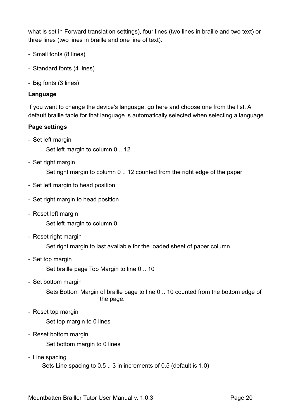what is set in Forward translation settings), four lines (two lines in braille and two text) or three lines (two lines in braille and one line of text).

- Small fonts (8 lines)
- Standard fonts (4 lines)
- Big fonts (3 lines)

#### <span id="page-20-0"></span>**Language**

If you want to change the device's language, go here and choose one from the list. A default braille table for that language is automatically selected when selecting a language.

#### <span id="page-20-1"></span>**Page settings**

- Set left margin

Set left margin to column 0 .. 12

- Set right margin

Set right margin to column 0 .. 12 counted from the right edge of the paper

- Set left margin to head position
- Set right margin to head position
- Reset left margin

Set left margin to column 0

- Reset right margin

Set right margin to last available for the loaded sheet of paper column

- Set top margin

Set braille page Top Margin to line 0 .. 10

- Set bottom margin

Sets Bottom Margin of braille page to line 0 .. 10 counted from the bottom edge of the page.

- Reset top margin

Set top margin to 0 lines

- Reset bottom margin

Set bottom margin to 0 lines

- Line spacing

Sets Line spacing to 0.5 .. 3 in increments of 0.5 (default is 1.0)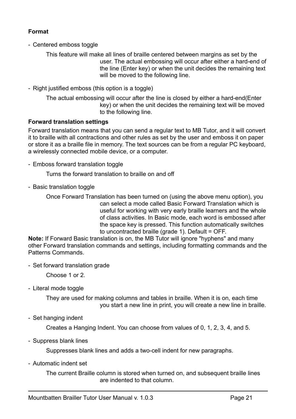#### <span id="page-21-0"></span>**Format**

- Centered emboss toggle

This feature will make all lines of braille centered between margins as set by the user. The actual embossing will occur after either a hard-end of the line (Enter key) or when the unit decides the remaining text will be moved to the following line.

- Right justified emboss (this option is a toggle)

The actual embossing will occur after the line is closed by either a hard-end(Enter key) or when the unit decides the remaining text will be moved to the following line.

#### <span id="page-21-1"></span>**Forward translation settings**

Forward translation means that you can send a regular text to MB Tutor, and it will convert it to braille with all contractions and other rules as set by the user and emboss it on paper or store it as a braille file in memory. The text sources can be from a regular PC keyboard, a wirelessly connected mobile device, or a computer.

- Emboss forward translation toggle

Turns the forward translation to braille on and off

- Basic translation toggle

Once Forward Translation has been turned on (using the above menu option), you can select a mode called Basic Forward Translation which is useful for working with very early braille learners and the whole of class activities. In Basic mode, each word is embossed after the space key is pressed. This function automatically switches to uncontracted braille (grade 1). Default = OFF.

**Note:** If Forward Basic translation is on, the MB Tutor will ignore "hyphens" and many other Forward translation commands and settings, including formatting commands and the Patterns Commands.

- Set forward translation grade

Choose 1 or 2.

- Literal mode toggle

They are used for making columns and tables in braille. When it is on, each time you start a new line in print, you will create a new line in braille.

- Set hanging indent

Creates a Hanging Indent. You can choose from values of 0, 1, 2, 3, 4, and 5.

- Suppress blank lines

Suppresses blank lines and adds a two-cell indent for new paragraphs.

- Automatic indent set

The current Braille column is stored when turned on, and subsequent braille lines are indented to that column.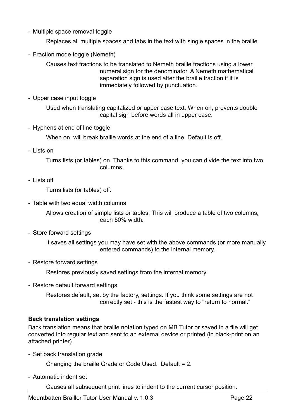- Multiple space removal toggle

Replaces all multiple spaces and tabs in the text with single spaces in the braille.

- Fraction mode toggle (Nemeth)

Causes text fractions to be translated to Nemeth braille fractions using a lower numeral sign for the denominator. A Nemeth mathematical separation sign is used after the braille fraction if it is immediately followed by punctuation.

- Upper case input toggle

Used when translating capitalized or upper case text. When on, prevents double capital sign before words all in upper case.

- Hyphens at end of line toggle

When on, will break braille words at the end of a line. Default is off.

- Lists on

Turns lists (or tables) on. Thanks to this command, you can divide the text into two columns.

- Lists off

Turns lists (or tables) off.

- Table with two equal width columns

Allows creation of simple lists or tables. This will produce a table of two columns, each 50% width.

- Store forward settings

It saves all settings you may have set with the above commands (or more manually entered commands) to the internal memory.

- Restore forward settings

Restores previously saved settings from the internal memory.

- Restore default forward settings

Restores default, set by the factory, settings. If you think some settings are not correctly set - this is the fastest way to "return to normal."

#### <span id="page-22-0"></span>**Back translation settings**

Back translation means that braille notation typed on MB Tutor or saved in a file will get converted into regular text and sent to an external device or printed (in black-print on an attached printer).

- Set back translation grade

Changing the braille Grade or Code Used. Default = 2.

- Automatic indent set

Causes all subsequent print lines to indent to the current cursor position.

Mountbatten Brailler Tutor User Manual v. 1.0.3 Page 22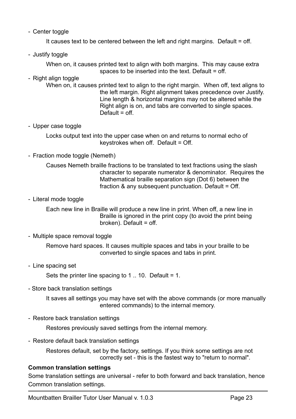- Center toggle

It causes text to be centered between the left and right margins. Default = off.

- Justify toggle

When on, it causes printed text to align with both margins. This may cause extra spaces to be inserted into the text. Default = off.

- Right align toggle
	- When on, it causes printed text to align to the right margin. When off, text aligns to the left margin. Right alignment takes precedence over Justify. Line length & horizontal margins may not be altered while the Right align is on, and tabs are converted to single spaces.  $Default = off$
- Upper case toggle

Locks output text into the upper case when on and returns to normal echo of keystrokes when off. Default = Off.

- Fraction mode toggle (Nemeth)

Causes Nemeth braille fractions to be translated to text fractions using the slash character to separate numerator & denominator. Requires the Mathematical braille separation sign (Dot 6) between the fraction & any subsequent punctuation. Default = Off.

- Literal mode toggle

Each new line in Braille will produce a new line in print. When off, a new line in Braille is ignored in the print copy (to avoid the print being broken). Default = off.

- Multiple space removal toggle

Remove hard spaces. It causes multiple spaces and tabs in your braille to be converted to single spaces and tabs in print.

- Line spacing set

Sets the printer line spacing to  $1 \dots 10$ . Default = 1.

- Store back translation settings

It saves all settings you may have set with the above commands (or more manually entered commands) to the internal memory.

- Restore back translation settings

Restores previously saved settings from the internal memory.

- Restore default back translation settings

Restores default, set by the factory, settings. If you think some settings are not correctly set - this is the fastest way to "return to normal".

#### <span id="page-23-0"></span>**Common translation settings**

Some translation settings are universal - refer to both forward and back translation, hence Common translation settings.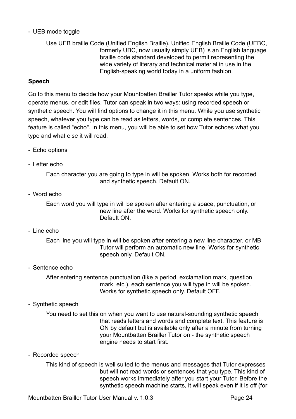#### - UEB mode toggle

Use UEB braille Code (Unified English Braille). Unified English Braille Code (UEBC, formerly UBC, now usually simply UEB) is an English language braille code standard developed to permit representing the wide variety of literary and technical material in use in the English-speaking world today in a uniform fashion.

#### <span id="page-24-0"></span>**Speech**

Go to this menu to decide how your Mountbatten Brailler Tutor speaks while you type, operate menus, or edit files. Tutor can speak in two ways: using recorded speech or synthetic speech. You will find options to change it in this menu. While you use synthetic speech, whatever you type can be read as letters, words, or complete sentences. This feature is called "echo". In this menu, you will be able to set how Tutor echoes what you type and what else it will read.

- Echo options
- Letter echo

Each character you are going to type in will be spoken. Works both for recorded and synthetic speech. Default ON.

- Word echo

Each word you will type in will be spoken after entering a space, punctuation, or new line after the word. Works for synthetic speech only. Default ON.

- Line echo

Each line you will type in will be spoken after entering a new line character, or MB Tutor will perform an automatic new line. Works for synthetic speech only. Default ON.

- Sentence echo

After entering sentence punctuation (like a period, exclamation mark, question mark, etc.), each sentence you will type in will be spoken. Works for synthetic speech only. Default OFF.

- Synthetic speech

You need to set this on when you want to use natural-sounding synthetic speech that reads letters and words and complete text. This feature is ON by default but is available only after a minute from turning your Mountbatten Brailler Tutor on - the synthetic speech engine needs to start first.

- Recorded speech

This kind of speech is well suited to the menus and messages that Tutor expresses but will not read words or sentences that you type. This kind of speech works immediately after you start your Tutor. Before the synthetic speech machine starts, it will speak even if it is off (for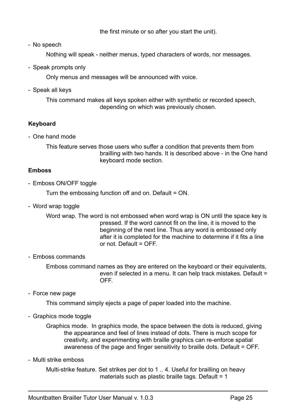the first minute or so after you start the unit).

- No speech

Nothing will speak - neither menus, typed characters of words, nor messages.

- Speak prompts only

Only menus and messages will be announced with voice.

- Speak all keys

This command makes all keys spoken either with synthetic or recorded speech, depending on which was previously chosen.

## <span id="page-25-0"></span>**Keyboard**

- One hand mode

This feature serves those users who suffer a condition that prevents them from brailling with two hands. It is described above - in the One hand keyboard mode section.

#### <span id="page-25-1"></span>**Emboss**

- Emboss ON/OFF toggle

Turn the embossing function off and on. Default = ON.

- Word wrap toggle

Word wrap. The word is not embossed when word wrap is ON until the space key is pressed. If the word cannot fit on the line, it is moved to the beginning of the next line. Thus any word is embossed only after it is completed for the machine to determine if it fits a line or not. Default =  $OFF$ .

#### - Emboss commands

Emboss command names as they are entered on the keyboard or their equivalents, even if selected in a menu. It can help track mistakes. Default = OFF.

- Force new page

This command simply ejects a page of paper loaded into the machine.

- Graphics mode toggle

Graphics mode. In graphics mode, the space between the dots is reduced, giving the appearance and feel of lines instead of dots. There is much scope for creativity, and experimenting with braille graphics can re-enforce spatial awareness of the page and finger sensitivity to braille dots. Default = OFF.

- Multi strike emboss

Multi-strike feature. Set strikes per dot to 1 .. 4. Useful for brailling on heavy materials such as plastic braille tags. Default =  $1$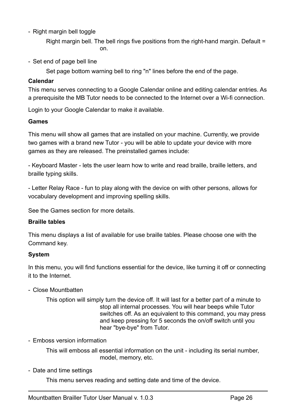- Right margin bell toggle

Right margin bell. The bell rings five positions from the right-hand margin. Default = on.

- Set end of page bell line

Set page bottom warning bell to ring "n" lines before the end of the page.

#### <span id="page-26-0"></span>**Calendar**

This menu serves connecting to a Google Calendar online and editing calendar entries. As a prerequisite the MB Tutor needs to be connected to the Internet over a Wi-fi connection.

Login to your Google Calendar to make it available.

#### <span id="page-26-1"></span>**Games**

This menu will show all games that are installed on your machine. Currently, we provide two games with a brand new Tutor - you will be able to update your device with more games as they are released. The preinstalled games include:

- Keyboard Master - lets the user learn how to write and read braille, braille letters, and braille typing skills.

- Letter Relay Race - fun to play along with the device on with other persons, allows for vocabulary development and improving spelling skills.

See the Games section for more details.

#### <span id="page-26-2"></span>**Braille tables**

This menu displays a list of available for use braille tables. Please choose one with the Command key.

#### <span id="page-26-3"></span>**System**

In this menu, you will find functions essential for the device, like turning it off or connecting it to the Internet.

- Close Mountbatten

This option will simply turn the device off. It will last for a better part of a minute to stop all internal processes. You will hear beeps while Tutor switches off. As an equivalent to this command, you may press and keep pressing for 5 seconds the on/off switch until you hear "bye-bye" from Tutor.

- Emboss version information

This will emboss all essential information on the unit - including its serial number, model, memory, etc.

- Date and time settings

This menu serves reading and setting date and time of the device.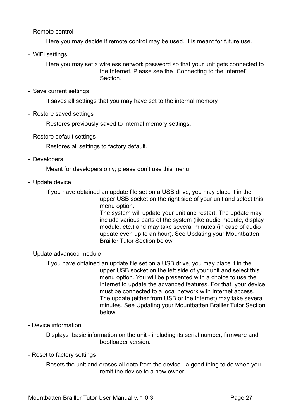- Remote control

Here you may decide if remote control may be used. It is meant for future use.

- WiFi settings

Here you may set a wireless network password so that your unit gets connected to the Internet. Please see the "Connecting to the Internet" **Section** 

- Save current settings

It saves all settings that you may have set to the internal memory.

- Restore saved settings

Restores previously saved to internal memory settings.

- Restore default settings

Restores all settings to factory default.

- Developers

Meant for developers only; please don't use this menu.

- Update device

If you have obtained an update file set on a USB drive, you may place it in the upper USB socket on the right side of your unit and select this menu option.

The system will update your unit and restart. The update may include various parts of the system (like audio module, display module, etc.) and may take several minutes (in case of audio update even up to an hour). See Updating your Mountbatten Brailler Tutor Section below.

- Update advanced module

If you have obtained an update file set on a USB drive, you may place it in the upper USB socket on the left side of your unit and select this menu option. You will be presented with a choice to use the Internet to update the advanced features. For that, your device must be connected to a local network with Internet access. The update (either from USB or the Internet) may take several minutes. See Updating your Mountbatten Brailler Tutor Section below.

#### - Device information

Displays basic information on the unit - including its serial number, firmware and bootloader version.

#### - Reset to factory settings

Resets the unit and erases all data from the device - a good thing to do when you remit the device to a new owner.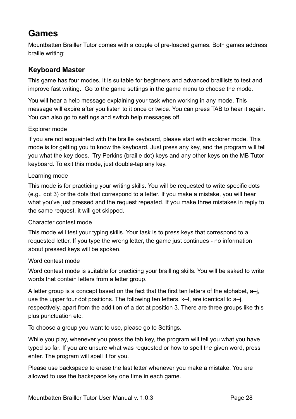# <span id="page-28-0"></span>**Games**

Mountbatten Brailler Tutor comes with a couple of pre-loaded games. Both games address braille writing:

# <span id="page-28-1"></span>**Keyboard Master**

This game has four modes. It is suitable for beginners and advanced braillists to test and improve fast writing. Go to the game settings in the game menu to choose the mode.

You will hear a help message explaining your task when working in any mode. This message will expire after you listen to it once or twice. You can press TAB to hear it again. You can also go to settings and switch help messages off.

#### <span id="page-28-2"></span>Explorer mode

If you are not acquainted with the braille keyboard, please start with explorer mode. This mode is for getting you to know the keyboard. Just press any key, and the program will tell you what the key does. Try Perkins (braille dot) keys and any other keys on the MB Tutor keyboard. To exit this mode, just double-tap any key.

#### <span id="page-28-3"></span>Learning mode

This mode is for practicing your writing skills. You will be requested to write specific dots (e.g., dot 3) or the dots that correspond to a letter. If you make a mistake, you will hear what you've just pressed and the request repeated. If you make three mistakes in reply to the same request, it will get skipped.

#### <span id="page-28-4"></span>Character contest mode

This mode will test your typing skills. Your task is to press keys that correspond to a requested letter. If you type the wrong letter, the game just continues - no information about pressed keys will be spoken.

#### <span id="page-28-5"></span>Word contest mode

Word contest mode is suitable for practicing your brailling skills. You will be asked to write words that contain letters from a letter group.

A letter group is a concept based on the fact that the first ten letters of the alphabet, a–j, use the upper four dot positions. The following ten letters, k–t, are identical to a–j, respectively, apart from the addition of a dot at position 3. There are three groups like this plus punctuation etc.

To choose a group you want to use, please go to Settings.

While you play, whenever you press the tab key, the program will tell you what you have typed so far. If you are unsure what was requested or how to spell the given word, press enter. The program will spell it for you.

Please use backspace to erase the last letter whenever you make a mistake. You are allowed to use the backspace key one time in each game.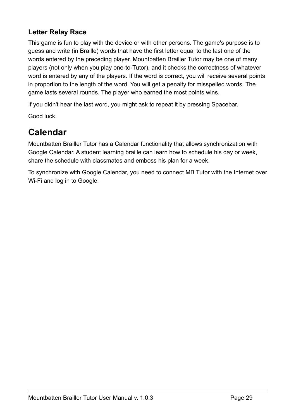# <span id="page-29-0"></span>**Letter Relay Race**

This game is fun to play with the device or with other persons. The game's purpose is to guess and write (in Braille) words that have the first letter equal to the last one of the words entered by the preceding player. Mountbatten Brailler Tutor may be one of many players (not only when you play one-to-Tutor), and it checks the correctness of whatever word is entered by any of the players. If the word is correct, you will receive several points in proportion to the length of the word. You will get a penalty for misspelled words. The game lasts several rounds. The player who earned the most points wins.

If you didn't hear the last word, you might ask to repeat it by pressing Spacebar.

Good luck.

# <span id="page-29-1"></span>**Calendar**

Mountbatten Brailler Tutor has a Calendar functionality that allows synchronization with Google Calendar. A student learning braille can learn how to schedule his day or week, share the schedule with classmates and emboss his plan for a week.

To synchronize with Google Calendar, you need to connect MB Tutor with the Internet over Wi-Fi and log in to Google.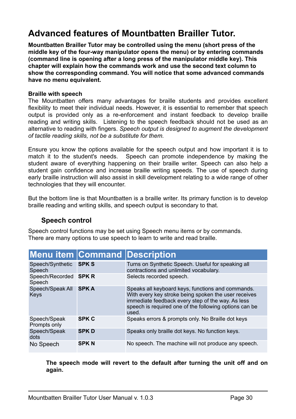# <span id="page-30-0"></span>**Advanced features of Mountbatten Brailler Tutor.**

**Mountbatten Brailler Tutor may be controlled using the menu (short press of the middle key of the four-way manipulator opens the menu) or by entering commands (command line is opening after a long press of the manipulator middle key). This chapter will explain how the commands work and use the second text column to show the corresponding command. You will notice that some advanced commands have no menu equivalent.**

#### **Braille with speech**

The Mountbatten offers many advantages for braille students and provides excellent flexibility to meet their individual needs. However, it is essential to remember that speech output is provided only as a re-enforcement and instant feedback to develop braille reading and writing skills. Listening to the speech feedback should not be used as an alternative to reading with fingers. *Speech output is designed to augment the development of tactile reading skills, not be a substitute for them.*

Ensure you know the options available for the speech output and how important it is to match it to the student's needs. Speech can promote independence by making the student aware of everything happening on their braille writer. Speech can also help a student gain confidence and increase braille writing speeds. The use of speech during early braille instruction will also assist in skill development relating to a wide range of other technologies that they will encounter.

But the bottom line is that Mountbatten is a braille writer. Its primary function is to develop braille reading and writing skills, and speech output is secondary to that.

# <span id="page-30-1"></span>**Speech control**

Speech control functions may be set using Speech menu items or by commands. There are many options to use speech to learn to write and read braille.

|                                 |              | <b>Menu item Command Description</b>                                                                                                                                                                                              |
|---------------------------------|--------------|-----------------------------------------------------------------------------------------------------------------------------------------------------------------------------------------------------------------------------------|
| Speech/Synthetic<br>Speech      | <b>SPKS</b>  | Turns on Synthetic Speech. Useful for speaking all<br>contractions and unlimited vocabulary.                                                                                                                                      |
| Speech/Recorded SPK R<br>Speech |              | Selects recorded speech.                                                                                                                                                                                                          |
| Speech/Speak All<br>Keys        | <b>SPKA</b>  | Speaks all keyboard keys, functions and commands.<br>With every key stroke being spoken the user receives<br>immediate feedback every step of the way. As less<br>speech is required one of the following options can be<br>used. |
| Speech/Speak<br>Prompts only    | <b>SPK C</b> | Speaks errors & prompts only. No Braille dot keys                                                                                                                                                                                 |
| Speech/Speak<br>dots            | <b>SPKD</b>  | Speaks only braille dot keys. No function keys.                                                                                                                                                                                   |
| No Speech                       | <b>SPKN</b>  | No speech. The machine will not produce any speech.                                                                                                                                                                               |

**The speech mode will revert to the default after turning the unit off and on again.**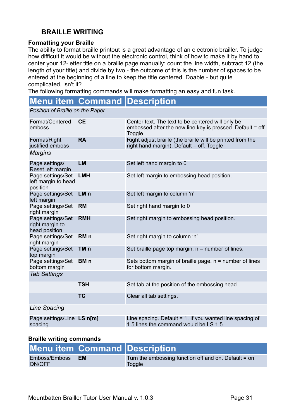# <span id="page-31-0"></span>**BRAILLE WRITING**

#### **Formatting your Braille**

The ability to format braille printout is a great advantage of an electronic brailler. To judge how difficult it would be without the electronic control, think of how to make it by hand to center your 12-letter title on a braille page manually: count the line width, subtract 12 (the length of your title) and divide by two - the outcome of this is the number of spaces to be entered at the beginning of a line to keep the title centered. Doable - but quite complicated, isn't it?

The following formatting commands will make formatting an easy and fun task.

# **Menu item Command Description**

*Position of Braille on the Paper*

| Format/Centered<br>emboss                             | <b>CE</b>       | Center text. The text to be centered will only be<br>embossed after the new line key is pressed. Default = off.<br>Toggle. |  |
|-------------------------------------------------------|-----------------|----------------------------------------------------------------------------------------------------------------------------|--|
| Format/Right<br>justified emboss                      | <b>RA</b>       | Right adjust braille (the braille will be printed from the<br>right hand margin). Default = $off.$ Toggle                  |  |
| <b>Margins</b>                                        |                 |                                                                                                                            |  |
| Page settings/<br>Reset left margin                   | <b>LM</b>       | Set left hand margin to 0                                                                                                  |  |
| Page settings/Set<br>left margin to head<br>position  | <b>LMH</b>      | Set left margin to embossing head position.                                                                                |  |
| Page settings/Set<br>left margin                      | LM <sub>n</sub> | Set left margin to column 'n'                                                                                              |  |
| Page settings/Set<br>right margin                     | <b>RM</b>       | Set right hand margin to 0                                                                                                 |  |
| Page settings/Set<br>right margin to<br>head position | <b>RMH</b>      | Set right margin to embossing head position.                                                                               |  |
| Page settings/Set<br>right margin                     | RM <sub>n</sub> | Set right margin to column 'n'                                                                                             |  |
| Page settings/Set<br>top margin                       | TM <sub>n</sub> | Set braille page top margin. $n =$ number of lines.                                                                        |  |
| Page settings/Set<br>bottom margin                    | BM <sub>n</sub> | Sets bottom margin of braille page. $n =$ number of lines<br>for bottom margin.                                            |  |
| <b>Tab Settings</b>                                   |                 |                                                                                                                            |  |
|                                                       | <b>TSH</b>      | Set tab at the position of the embossing head.                                                                             |  |
|                                                       | <b>TC</b>       | Clear all tab settings.                                                                                                    |  |
| <b>Line Spacing</b>                                   |                 |                                                                                                                            |  |
| Page settings/Line LS n[m]<br>spacing                 |                 | Line spacing. Default $= 1$ . If you wanted line spacing of<br>1.5 lines the command would be LS 1.5                       |  |

#### **Braille writing commands**

|                         |           | Menu item Command Description                                   |
|-------------------------|-----------|-----------------------------------------------------------------|
| Emboss/Emboss<br>ON/OFF | <b>EM</b> | Turn the embossing function off and on. Default = on.<br>Toggle |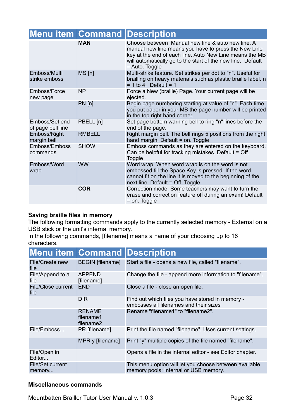|                                     |               | <b>Menu item Command Description</b>                                                                                                                                                                                                                  |
|-------------------------------------|---------------|-------------------------------------------------------------------------------------------------------------------------------------------------------------------------------------------------------------------------------------------------------|
|                                     | <b>MAN</b>    | Choose between Manual new line & auto new line. A<br>manual new line means you have to press the New Line<br>key at the end of each line. Auto New Line means the MB<br>will automatically go to the start of the new line. Default<br>= Auto. Toggle |
| Emboss/Multi<br>strike emboss       | MS[n]         | Multi-strike feature. Set strikes per dot to "n". Useful for<br>brailling on heavy materials such as plastic braille label. n<br>$= 1$ to 4. Default = 1                                                                                              |
| Emboss/Force<br>new page            | <b>NP</b>     | Force a New (braille) Page. Your current page will be<br>ejected.                                                                                                                                                                                     |
|                                     | $PN$ [n]      | Begin page numbering starting at value of "n". Each time<br>you put paper in your MB the page number will be printed<br>in the top right hand corner.                                                                                                 |
| Emboss/Set end<br>of page bell line | PBELL [n]     | Set page bottom warning bell to ring "n" lines before the<br>end of the page.                                                                                                                                                                         |
| Emboss/Right<br>margin bell         | <b>RMBELL</b> | Right margin bell. The bell rings 5 positions from the right<br>hand margin. Default = on. Toggle                                                                                                                                                     |
| Emboss/Emboss<br>commands           | <b>SHOW</b>   | Emboss commands as they are entered on the keyboard.<br>Can be helpful for tracking mistakes. Default = Off.<br>Toggle                                                                                                                                |
| Emboss/Word<br>wrap                 | <b>WW</b>     | Word wrap. When word wrap is on the word is not<br>embossed till the Space Key is pressed. If the word<br>cannot fit on the line it is moved to the beginning of the<br>next line. Default = Off. Toggle                                              |
|                                     | <b>COR</b>    | Correction mode. Some teachers may want to turn the<br>erase and correction feature off during an exam! Default<br>= on. Toggle                                                                                                                       |

#### **Saving braille files in memory**

The following formatting commands apply to the currently selected memory - External on a USB stick or the unit's internal memory.

In the following commands, [filename] means a name of your choosing up to 16 characters.

|                                   |                                         | <b>Menu item Command Description</b>                                                            |
|-----------------------------------|-----------------------------------------|-------------------------------------------------------------------------------------------------|
| File/Create new<br>file           | <b>BEGIN</b> [filename]                 | Start a file - opens a new file, called "filename".                                             |
| File/Append to a<br>file          | APPEND<br>[filename]                    | Change the file - append more information to "filename".                                        |
| File/Close current<br>file        | <b>END</b>                              | Close a file - close an open file.                                                              |
|                                   | <b>DIR</b>                              | Find out which files you have stored in memory -<br>embosses all filenames and their sizes      |
|                                   | <b>RENAME</b><br>filename1<br>filename2 | Rename "filename1" to "filename2".                                                              |
| File/Emboss                       | PR [filename]                           | Print the file named "filename". Uses current settings.                                         |
|                                   | MPR y [filename]                        | Print "y" multiple copies of the file named "filename".                                         |
| File/Open in<br>Editor            |                                         | Opens a file in the internal editor - see Editor chapter.                                       |
| <b>File/Set current</b><br>memory |                                         | This menu option will let you choose between available<br>memory pools: Internal or USB memory. |

#### **Miscellaneous commands**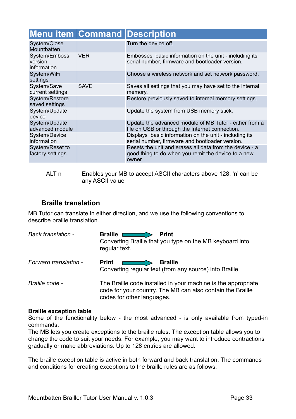|                                         |             | <b>Menu item Command Description</b>                                                                                    |
|-----------------------------------------|-------------|-------------------------------------------------------------------------------------------------------------------------|
| System/Close<br>Mountbatten             |             | Turn the device off.                                                                                                    |
| System/Emboss<br>version<br>information | <b>VER</b>  | Embosses basic information on the unit - including its<br>serial number, firmware and bootloader version.               |
| System/WiFi<br>settings                 |             | Choose a wireless network and set network password.                                                                     |
| System/Save<br>current settings         | <b>SAVE</b> | Saves all settings that you may have set to the internal<br>memory.                                                     |
| System/Restore<br>saved settings        |             | Restore previously saved to internal memory settings.                                                                   |
| System/Update<br>device                 |             | Update the system from USB memory stick.                                                                                |
| System/Update<br>advanced module        |             | Update the advanced module of MB Tutor - either from a<br>file on USB or through the Internet connection.               |
| System/Device<br>information            |             | Displays basic information on the unit - including its<br>serial number, firmware and bootloader version.               |
| System/Reset to<br>factory settings     |             | Resets the unit and erases all data from the device - a<br>good thing to do when you remit the device to a new<br>owner |

ALT n Enables your MB to accept ASCII characters above 128. 'n' can be any ASCII value

## <span id="page-33-0"></span>**Braille translation**

MB Tutor can translate in either direction, and we use the following conventions to describe braille translation.

| <b>Back translation -</b> | <b>Braille</b><br><b>Print</b><br>Converting Braille that you type on the MB keyboard into<br>regular text.                                               |
|---------------------------|-----------------------------------------------------------------------------------------------------------------------------------------------------------|
| Forward translation -     | <b>Print</b><br><b>Braille</b><br>Converting regular text (from any source) into Braille.                                                                 |
| Braille code -            | The Braille code installed in your machine is the appropriate<br>code for your country. The MB can also contain the Braille<br>codes for other languages. |

#### **Braille exception table**

Some of the functionality below - the most advanced - is only available from typed-in commands.

The MB lets you create exceptions to the braille rules. The exception table allows you to change the code to suit your needs. For example, you may want to introduce contractions gradually or make abbreviations. Up to 128 entries are allowed.

The braille exception table is active in both forward and back translation. The commands and conditions for creating exceptions to the braille rules are as follows;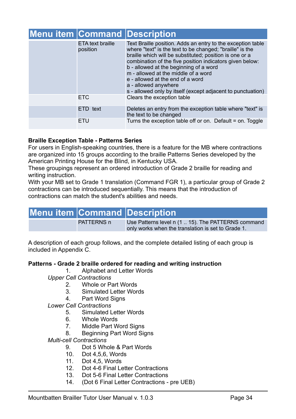|                                     | <b>Menu item Command Description</b>                                                                                                                                                                                                                                                                                                                                                                                                                       |
|-------------------------------------|------------------------------------------------------------------------------------------------------------------------------------------------------------------------------------------------------------------------------------------------------------------------------------------------------------------------------------------------------------------------------------------------------------------------------------------------------------|
| <b>ETA text braille</b><br>position | Text Braille position. Adds an entry to the exception table<br>where "text" is the text to be changed; "braille" is the<br>braille which will be substituted; position is one or a<br>combination of the five position indicators given below:<br>b - allowed at the beginning of a word<br>m - allowed at the middle of a word<br>e - allowed at the end of a word<br>a - allowed anywhere<br>s - allowed only by itself (except adjacent to punctuation) |
| <b>ETC</b>                          | Clears the exception table                                                                                                                                                                                                                                                                                                                                                                                                                                 |
| ETD text                            | Deletes an entry from the exception table where "text" is<br>the text to be changed                                                                                                                                                                                                                                                                                                                                                                        |
| ETU                                 | Turns the exception table off or on. Default = on. Toggle                                                                                                                                                                                                                                                                                                                                                                                                  |

#### **Braille Exception Table - Patterns Series**

For users in English-speaking countries, there is a feature for the MB where contractions are organized into 15 groups according to the braille Patterns Series developed by the American Printing House for the Blind, in Kentucky USA.

These groupings represent an ordered introduction of Grade 2 braille for reading and writing instruction.

With your MB set to Grade 1 translation (Command FGR 1), a particular group of Grade 2 contractions can be introduced sequentially. This means that the introduction of contractions can match the student's abilities and needs.

# **Menu item Command Description**

PATTERNS n Use Patterns level n (1 .. 15). The PATTERNS command only works when the translation is set to Grade 1.

A description of each group follows, and the complete detailed listing of each group is included in Appendix C.

#### **Patterns - Grade 2 braille ordered for reading and writing instruction**

1. Alphabet and Letter Words

- *Upper Cell Contractions*
	- 2. Whole or Part Words
	- 3. Simulated Letter Words
	- 4. Part Word Signs
- *Lower Cell Contractions*
	- 5. Simulated Letter Words
	- 6. Whole Words
	- 7. Middle Part Word Signs
	- 8. Beginning Part Word Signs

#### *Multi-cell Contractions*

- 9. Dot 5 Whole & Part Words
- 10. Dot 4,5,6, Words
- 11. Dot 4,5, Words
- 12. Dot 4-6 Final Letter Contractions
- 13. Dot 5-6 Final Letter Contractions
- 14. (Dot 6 Final Letter Contractions pre UEB)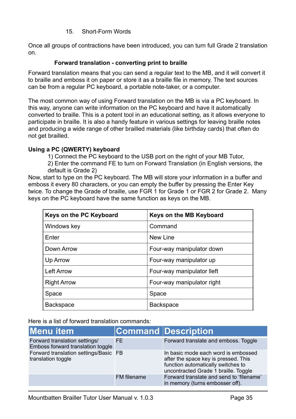#### 15. Short-Form Words

Once all groups of contractions have been introduced, you can turn full Grade 2 translation on.

#### <span id="page-35-0"></span>**Forward translation - converting print to braille**

Forward translation means that you can send a regular text to the MB, and it will convert it to braille and emboss it on paper or store it as a braille file in memory. The text sources can be from a regular PC keyboard, a portable note-taker, or a computer.

The most common way of using Forward translation on the MB is via a PC keyboard. In this way, anyone can write information on the PC keyboard and have it automatically converted to braille. This is a potent tool in an educational setting, as it allows everyone to participate in braille. It is also a handy feature in various settings for leaving braille notes and producing a wide range of other brailled materials (like birthday cards) that often do not get brailled.

#### **Using a PC (QWERTY) keyboard**

1) Connect the PC keyboard to the USB port on the right of your MB Tutor,

2) Enter the command FE to turn on Forward Translation (in English versions, the default is Grade 2)

Now, start to type on the PC keyboard. The MB will store your information in a buffer and emboss it every 80 characters, or you can empty the buffer by pressing the Enter Key twice. To change the Grade of braille, use FGR 1 for Grade 1 or FGR 2 for Grade 2. Many keys on the PC keyboard have the same function as keys on the MB.

| Keys on the PC Keyboard | Keys on the MB Keyboard    |
|-------------------------|----------------------------|
| Windows key             | Command                    |
| Enter                   | New Line                   |
| Down Arrow              | Four-way manipulator down  |
| Up Arrow                | Four-way manipulator up    |
| <b>Left Arrow</b>       | Four-way manipulator lleft |
| <b>Right Arrow</b>      | Four-way manipulator right |
| Space                   | Space                      |
| <b>Backspace</b>        | <b>Backspace</b>           |

Here is a list of forward translation commands:

| Menu item                                                          |             | Command Description                                                                                                                                       |
|--------------------------------------------------------------------|-------------|-----------------------------------------------------------------------------------------------------------------------------------------------------------|
| Forward translation settings/<br>Emboss forward translation toggle | FE.         | Forward translate and emboss. Toggle                                                                                                                      |
| Forward translation settings/Basic FB<br>translation toggle        |             | In basic mode each word is embossed<br>after the space key is pressed. This<br>function automatically switches to<br>uncontracted Grade 1 braille. Toggle |
|                                                                    | FM filename | Forward translate and send to 'filename'<br>in memory (turns embosser off).                                                                               |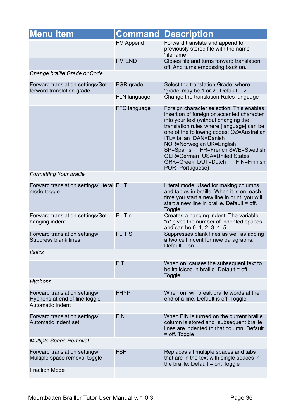| <b>Menu item</b>                                               |                   | <b>Command Description</b>                                                                                                                                                                                                                                                                                                                                                                                                 |
|----------------------------------------------------------------|-------------------|----------------------------------------------------------------------------------------------------------------------------------------------------------------------------------------------------------------------------------------------------------------------------------------------------------------------------------------------------------------------------------------------------------------------------|
|                                                                | <b>FM Append</b>  | Forward translate and append to<br>previously stored file with the name<br>'filename'.                                                                                                                                                                                                                                                                                                                                     |
|                                                                | FM END            | Closes file and turns forward translation<br>off. And turns embossing back on.                                                                                                                                                                                                                                                                                                                                             |
| Change braille Grade or Code                                   |                   |                                                                                                                                                                                                                                                                                                                                                                                                                            |
| Forward translation settings/Set<br>forward translation grade  | FGR grade         | Select the translation Grade, where<br>'grade' may be 1 or 2. Default = 2.                                                                                                                                                                                                                                                                                                                                                 |
|                                                                | FLN language      | Change the translation Rules language                                                                                                                                                                                                                                                                                                                                                                                      |
|                                                                | FFC language      | Foreign character selection. This enables<br>insertion of foreign or accented character<br>into your text (without changing the<br>translation rules where [language] can be<br>one of the following codes: OZ=Australian<br>ITL=Italian DAN=Danish<br>NOR=Norwegian UK=English<br>SP=Spanish FR=French SWE=Swedish<br><b>GER=German USA=United States</b><br><b>GRK=Greek DUT=Dutch</b><br>FIN=Finnish<br>POR=Portuguese) |
| <b>Formatting Your braille</b>                                 |                   |                                                                                                                                                                                                                                                                                                                                                                                                                            |
| Forward translation settings/Literal FLIT<br>mode toggle       |                   | Literal mode. Used for making columns<br>and tables in braille. When it is on, each<br>time you start a new line in print, you will<br>start a new line in braille. Default = off.<br>Toggle.                                                                                                                                                                                                                              |
| Forward translation settings/Set<br>hanging indent             | FLIT <sub>n</sub> | Creates a hanging indent. The variable<br>"n" gives the number of indented spaces<br>and can be 0, 1, 2, 3, 4, 5.                                                                                                                                                                                                                                                                                                          |
| Forward translation settings/<br>Suppress blank lines          | <b>FLIT S</b>     | Suppresses blank lines as well as adding<br>a two cell indent for new paragraphs.<br>Default $=$ on                                                                                                                                                                                                                                                                                                                        |
| <b>Italics</b>                                                 |                   |                                                                                                                                                                                                                                                                                                                                                                                                                            |
|                                                                | <b>FIT</b>        | When on, causes the subsequent text to<br>be italicised in braille. Default = off.<br><b>Toggle</b>                                                                                                                                                                                                                                                                                                                        |
| <b>Hyphens</b>                                                 |                   |                                                                                                                                                                                                                                                                                                                                                                                                                            |
| Forward translation settings/<br>Hyphens at end of line toggle | <b>FHYP</b>       | When on, will break braille words at the<br>end of a line. Default is off. Toggle                                                                                                                                                                                                                                                                                                                                          |
| Automatic Indent                                               |                   |                                                                                                                                                                                                                                                                                                                                                                                                                            |
| Forward translation settings/<br>Automatic indent set          | <b>FIN</b>        | When FIN is turned on the current braille<br>column is stored and subsequent braille<br>lines are indented to that column. Default<br>$=$ off. Toggle                                                                                                                                                                                                                                                                      |
| <b>Multiple Space Removal</b>                                  |                   |                                                                                                                                                                                                                                                                                                                                                                                                                            |
| Forward translation settings/<br>Multiple space removal toggle | <b>FSH</b>        | Replaces all multiple spaces and tabs<br>that are in the text with single spaces in<br>the braille. Default = on. Toggle                                                                                                                                                                                                                                                                                                   |
| <b>Fraction Mode</b>                                           |                   |                                                                                                                                                                                                                                                                                                                                                                                                                            |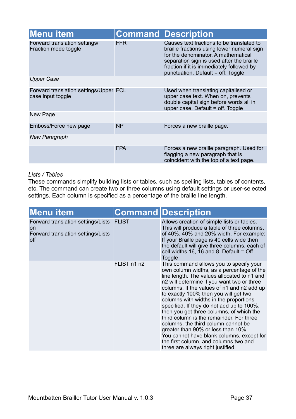| <b>Menu item</b>                                            |            | <b>Command Description</b>                                                                                                                                                                                                                                     |
|-------------------------------------------------------------|------------|----------------------------------------------------------------------------------------------------------------------------------------------------------------------------------------------------------------------------------------------------------------|
| Forward translation settings/<br>Fraction mode toggle       | <b>FFR</b> | Causes text fractions to be translated to<br>braille fractions using lower numeral sign<br>for the denominator. A mathematical<br>separation sign is used after the braille<br>fraction if it is immediately followed by<br>punctuation. Default = off. Toggle |
| <b>Upper Case</b>                                           |            |                                                                                                                                                                                                                                                                |
| Forward translation settings/Upper FCL<br>case input toggle |            | Used when translating capitalised or<br>upper case text. When on, prevents<br>double capital sign before words all in<br>upper case. Default = off. Toggle                                                                                                     |
| New Page                                                    |            |                                                                                                                                                                                                                                                                |
| Emboss/Force new page                                       | <b>NP</b>  | Forces a new braille page.                                                                                                                                                                                                                                     |
| <b>New Paragraph</b>                                        |            |                                                                                                                                                                                                                                                                |
|                                                             | <b>FPA</b> | Forces a new braille paragraph. Used for<br>flagging a new paragraph that is<br>coincident with the top of a text page.                                                                                                                                        |

#### *Lists / Tables*

These commands simplify building lists or tables, such as spelling lists, tables of contents, etc. The command can create two or three columns using default settings or user-selected settings. Each column is specified as a percentage of the braille line length.

| <b>Menu item</b>                                                                             |              | <b>Command Description</b>                                                                                                                                                                                                                                                                                                                                                                                                                                                                                                                                                                                                                                      |
|----------------------------------------------------------------------------------------------|--------------|-----------------------------------------------------------------------------------------------------------------------------------------------------------------------------------------------------------------------------------------------------------------------------------------------------------------------------------------------------------------------------------------------------------------------------------------------------------------------------------------------------------------------------------------------------------------------------------------------------------------------------------------------------------------|
| Forward translation settings/Lists<br><b>on</b><br>Forward translation settings/Lists<br>off | <b>FLIST</b> | Allows creation of simple lists or tables.<br>This will produce a table of three columns,<br>of 40%, 40% and 20% width. For example:<br>If your Braille page is 40 cells wide then<br>the default will give three columns, each of<br>cell widths 16, 16 and 8. Default = $\text{Off.}$<br>Toggle                                                                                                                                                                                                                                                                                                                                                               |
|                                                                                              | FLIST n1 n2  | This command allows you to specify your<br>own column widths, as a percentage of the<br>line length. The values allocated to n1 and<br>n2 will determine if you want two or three<br>columns. If the values of n1 and n2 add up<br>to exactly 100% then you will get two<br>columns with widths in the proportions<br>specified. If they do not add up to 100%,<br>then you get three columns, of which the<br>third column is the remainder. For three<br>columns, the third column cannot be<br>greater than 90% or less than 10%.<br>You cannot have blank columns, except for<br>the first column, and columns two and<br>three are always right justified. |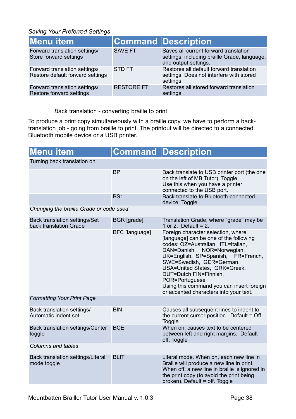*Saving Your Preferred Settings*

| Menu item                                                         |                   | <b>Command Description</b>                                                                                    |
|-------------------------------------------------------------------|-------------------|---------------------------------------------------------------------------------------------------------------|
| Forward translation settings/<br>Store forward settings           | <b>SAVE FT</b>    | Saves all current forward translation<br>settings, including braille Grade, language,<br>and output settings. |
| Forward translation settings/<br>Restore default forward settings | <b>STDFT</b>      | Restores all default forward translation<br>settings. Does not interfere with stored<br>settings.             |
| Forward translation settings/<br>Restore forward settings         | <b>RESTORE FT</b> | Restores all stored forward translation<br>settings.                                                          |

<span id="page-38-0"></span>*B*ack translation - converting braille to print

To produce a print copy simultaneously with a braille copy, we have to perform a backtranslation job - going from braille to print. The printout will be directed to a connected Bluetooth mobile device or a USB printer.

| <b>Menu item</b>                                               |                    | <b>Command Description</b>                                                                                                                                                                                                                                                                                                                                                             |  |
|----------------------------------------------------------------|--------------------|----------------------------------------------------------------------------------------------------------------------------------------------------------------------------------------------------------------------------------------------------------------------------------------------------------------------------------------------------------------------------------------|--|
| Turning back translation on                                    |                    |                                                                                                                                                                                                                                                                                                                                                                                        |  |
|                                                                | <b>BP</b>          | Back translate to USB printer port (the one<br>on the left of MB Tutor). Toggle.<br>Use this when you have a printer<br>connected to the USB port.                                                                                                                                                                                                                                     |  |
|                                                                | BS <sub>1</sub>    | Back translate to Bluetooth-connected<br>device. Toggle.                                                                                                                                                                                                                                                                                                                               |  |
| Changing the braille Grade or code used                        |                    |                                                                                                                                                                                                                                                                                                                                                                                        |  |
| <b>Back translation settings/Set</b><br>back translation Grade | <b>BGR</b> [grade] | Translation Grade, where "grade" may be<br>1 or 2. Default = $2$ .                                                                                                                                                                                                                                                                                                                     |  |
|                                                                | BFC [language]     | Foreign character selection, where<br>[language] can be one of the following<br>codes: OZ=Australian, ITL=Italian,<br>DAN=Danish, NOR=Norwegian,<br>UK=English, SP=Spanish, FR=French,<br>SWE=Swedish, GER=German,<br>USA=United States, GRK=Greek,<br>DUT=Dutch FIN=Finnish,<br>POR=Portuguese<br>Using this command you can insert foreign<br>or accented characters into your text. |  |
| <b>Formatting Your Print Page</b>                              |                    |                                                                                                                                                                                                                                                                                                                                                                                        |  |
| Back translation settings/<br>Automatic indent set             | <b>BIN</b>         | Causes all subsequent lines to indent to<br>the current cursor position. Default = Off.<br>Toggle                                                                                                                                                                                                                                                                                      |  |
| <b>Back translation settings/Center</b><br>toggle              | <b>BCE</b>         | When on, causes text to be centered<br>between left and right margins. Default =<br>off. Toggle                                                                                                                                                                                                                                                                                        |  |
| Columns and tables                                             |                    |                                                                                                                                                                                                                                                                                                                                                                                        |  |
| Back translation settings/Literal<br>mode toggle               | <b>BLIT</b>        | Literal mode. When on, each new line in<br>Braille will produce a new line in print.<br>When off, a new line in braille is ignored in<br>the print copy (to avoid the print being<br>broken). Default = off. Toggle                                                                                                                                                                    |  |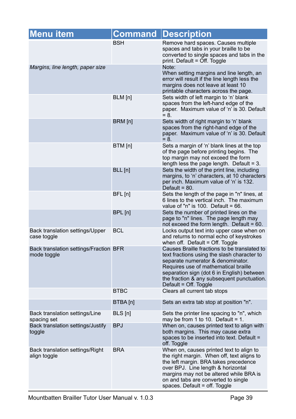| <b>Menu item</b>                                      | <b>Command</b> | <b>Description</b>                                                                                                                                                                                                                                                                            |
|-------------------------------------------------------|----------------|-----------------------------------------------------------------------------------------------------------------------------------------------------------------------------------------------------------------------------------------------------------------------------------------------|
|                                                       | <b>BSH</b>     | Remove hard spaces. Causes multiple<br>spaces and tabs in your braille to be<br>converted to single spaces and tabs in the<br>print. Default = Off. Toggle                                                                                                                                    |
| Margins, line length, paper size                      |                | Note:<br>When setting margins and line length, an<br>error will result if the line length less the<br>margins does not leave at least 10<br>printable characters across the page.                                                                                                             |
|                                                       | BLM [n]        | Sets width of left margin to 'n' blank<br>spaces from the left-hand edge of the<br>paper. Maximum value of 'n' is 30. Default<br>$= 8.$                                                                                                                                                       |
|                                                       | BRM [n]        | Sets width of right margin to 'n' blank<br>spaces from the right-hand edge of the<br>paper. Maximum value of 'n' is 30. Default<br>$= 8.$                                                                                                                                                     |
|                                                       | BTM [n]        | Sets a margin of 'n' blank lines at the top<br>of the page before printing begins. The<br>top margin may not exceed the form<br>length less the page length. Default = $3$ .                                                                                                                  |
|                                                       | BLL[n]         | Sets the width of the print line, including<br>margins, to 'n' characters, at 10 characters<br>per inch. Maximum value of 'n' is 132.<br>Default = $80$ .                                                                                                                                     |
|                                                       | BFL [n]        | Sets the length of the page in "n" lines, at<br>6 lines to the vertical inch. The maximum<br>value of "n" is $100.$ Default = 66.                                                                                                                                                             |
|                                                       | BPL [n]        | Sets the number of printed lines on the<br>page to "n" lines. The page length may<br>not exceed the form length. Default = 60.                                                                                                                                                                |
| Back translation settings/Upper<br>case toggle        | <b>BCL</b>     | Locks output text into upper case when on<br>and returns to normal echo of keystrokes<br>when off. Default = Off. Toggle                                                                                                                                                                      |
| Back translation settings/Fraction BFR<br>mode toggle |                | Causes Braille fractions to be translated to<br>text fractions using the slash character to<br>separate numerator & denominator.<br>Requires use of mathematical braille<br>separation sign (dot 6 in English) between<br>the fraction & any subsequent punctuation.<br>Default = Off. Toggle |
|                                                       | <b>BTBC</b>    | Clears all current tab stops                                                                                                                                                                                                                                                                  |
|                                                       | BTBA [n]       | Sets an extra tab stop at position "n".                                                                                                                                                                                                                                                       |
| Back translation settings/Line<br>spacing set         | BLS [n]        | Sets the printer line spacing to "n", which<br>may be from 1 to 10. Default = 1.                                                                                                                                                                                                              |
| Back translation settings/Justify<br>toggle           | <b>BPJ</b>     | When on, causes printed text to align with<br>both margins. This may cause extra<br>spaces to be inserted into text. Default =<br>off. Toggle                                                                                                                                                 |
| Back translation settings/Right<br>align toggle       | <b>BRA</b>     | When on, causes printed text to align to<br>the right margin. When off, text aligns to<br>the left margin. BRA takes precedence<br>over BPJ. Line length & horizontal<br>margins may not be altered while BRA is<br>on and tabs are converted to single<br>spaces. Default = off. Toggle      |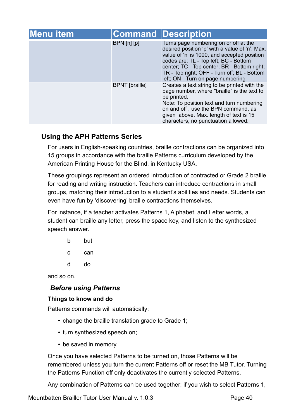| Menu item |                       | <b>Command Description</b>                                                                                                                                                                                                                                                                                         |
|-----------|-----------------------|--------------------------------------------------------------------------------------------------------------------------------------------------------------------------------------------------------------------------------------------------------------------------------------------------------------------|
|           | $BPN$ [n] [p]         | Turns page numbering on or off at the<br>desired position 'p' with a value of 'n'. Max.<br>value of 'n' is 1000, and accepted position<br>codes are: TL - Top left; BC - Bottom<br>center; TC - Top center; BR - Bottom right;<br>TR - Top right; OFF - Turn off; BL - Bottom<br>left; ON - Turn on page numbering |
|           | <b>BPNT</b> [braille] | Creates a text string to be printed with the<br>page number, where "braille" is the text to<br>be printed.<br>Note: To position text and turn numbering<br>on and off, use the BPN command, as<br>given above. Max. length of text is 15<br>characters, no punctuation allowed.                                    |

# <span id="page-40-0"></span>**Using the APH Patterns Series**

For users in English-speaking countries, braille contractions can be organized into 15 groups in accordance with the braille Patterns curriculum developed by the American Printing House for the Blind, in Kentucky USA.

These groupings represent an ordered introduction of contracted or Grade 2 braille for reading and writing instruction. Teachers can introduce contractions in small groups, matching their introduction to a student's abilities and needs. Students can even have fun by 'discovering' braille contractions themselves.

For instance, if a teacher activates Patterns 1, Alphabet, and Letter words, a student can braille any letter, press the space key, and listen to the synthesized speech answer.

- b but
- c can
- d do

and so on.

# <span id="page-40-1"></span>*Before using Patterns*

#### <span id="page-40-2"></span>**Things to know and do**

Patterns commands will automatically:

- change the braille translation grade to Grade 1;
- turn synthesized speech on;
- be saved in memory.

Once you have selected Patterns to be turned on, those Patterns will be remembered unless you turn the current Patterns off or reset the MB Tutor. Turning the Patterns Function off only deactivates the currently selected Patterns.

Any combination of Patterns can be used together; if you wish to select Patterns 1,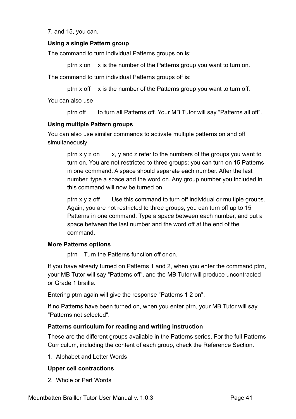7, and 15, you can.

#### <span id="page-41-0"></span>**Using a single Pattern group**

The command to turn individual Patterns groups on is:

ptrn x on x is the number of the Patterns group you want to turn on.

The command to turn individual Patterns groups off is:

ptrn  $x$  off  $x$  is the number of the Patterns group you want to turn off.

You can also use

ptrn off to turn all Patterns off. Your MB Tutor will say "Patterns all off".

#### <span id="page-41-1"></span>**Using multiple Pattern groups**

You can also use similar commands to activate multiple patterns on and off simultaneously

ptrn  $x \vee y$  z on  $x$ ,  $y$  and z refer to the numbers of the groups you want to turn on. You are not restricted to three groups; you can turn on 15 Patterns in one command. A space should separate each number. After the last number, type a space and the word on. Any group number you included in this command will now be turned on.

ptrn x y z off Use this command to turn off individual or multiple groups. Again, you are not restricted to three groups; you can turn off up to 15 Patterns in one command. Type a space between each number, and put a space between the last number and the word off at the end of the command.

#### <span id="page-41-2"></span>**More Patterns options**

ptrn Turn the Patterns function off or on.

If you have already turned on Patterns 1 and 2, when you enter the command ptrn, your MB Tutor will say "Patterns off", and the MB Tutor will produce uncontracted or Grade 1 braille.

Entering ptrn again will give the response "Patterns 1 2 on".

If no Patterns have been turned on, when you enter ptrn, your MB Tutor will say "Patterns not selected".

#### <span id="page-41-3"></span>**Patterns curriculum for reading and writing instruction**

These are the different groups available in the Patterns series. For the full Patterns Curriculum, including the content of each group, check the Reference Section.

1. Alphabet and Letter Words

#### **Upper cell contractions**

2. Whole or Part Words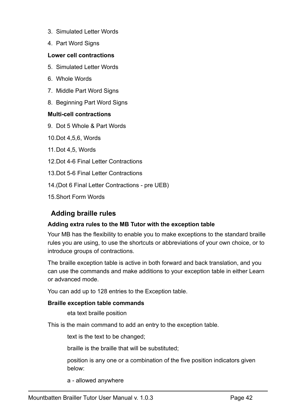- 3. Simulated Letter Words
- 4. Part Word Signs

#### **Lower cell contractions**

- 5. Simulated Letter Words
- 6. Whole Words
- 7. Middle Part Word Signs
- 8. Beginning Part Word Signs

#### **Multi-cell contractions**

- 9. Dot 5 Whole & Part Words
- 10.Dot 4,5,6, Words
- 11.Dot 4,5, Words
- 12 Dot 4-6 Final Letter Contractions
- 13.Dot 5-6 Final Letter Contractions
- 14.(Dot 6 Final Letter Contractions pre UEB)
- 15.Short Form Words

# <span id="page-42-0"></span>**Adding braille rules**

#### <span id="page-42-1"></span>**Adding extra rules to the MB Tutor with the exception table**

Your MB has the flexibility to enable you to make exceptions to the standard braille rules you are using, to use the shortcuts or abbreviations of your own choice, or to introduce groups of contractions.

The braille exception table is active in both forward and back translation, and you can use the commands and make additions to your exception table in either Learn or advanced mode.

You can add up to 128 entries to the Exception table.

#### <span id="page-42-2"></span>**Braille exception table commands**

eta text braille position

This is the main command to add an entry to the exception table.

text is the text to be changed;

braille is the braille that will be substituted;

position is any one or a combination of the five position indicators given below:

a - allowed anywhere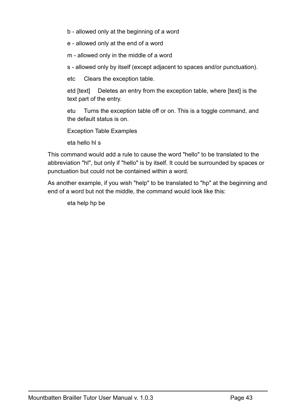b - allowed only at the beginning of a word

e - allowed only at the end of a word

m - allowed only in the middle of a word

s - allowed only by itself (except adjacent to spaces and/or punctuation).

etc Clears the exception table.

etd [text] Deletes an entry from the exception table, where [text] is the text part of the entry.

etu Turns the exception table off or on. This is a toggle command, and the default status is on.

Exception Table Examples

eta hello hl s

This command would add a rule to cause the word "hello" to be translated to the abbreviation "hl", but only if "hello" is by itself. It could be surrounded by spaces or punctuation but could not be contained within a word.

As another example, if you wish "help" to be translated to "hp" at the beginning and end of a word but not the middle, the command would look like this:

eta help hp be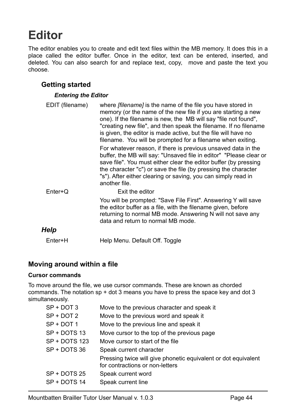# <span id="page-44-0"></span>**Editor**

The editor enables you to create and edit text files within the MB memory. It does this in a place called the editor buffer. Once in the editor, text can be entered, inserted, and deleted. You can also search for and replace text, copy, move and paste the text you choose.

## <span id="page-44-1"></span>**Getting started**

#### <span id="page-44-2"></span>*Entering the Editor*

| EDIT (filename) | where <i>[filename]</i> is the name of the file you have stored in<br>memory (or the name of the new file if you are starting a new<br>one). If the filename is new, the MB will say "file not found",<br>"creating new file", and then speak the filename. If no filename<br>is given, the editor is made active, but the file will have no<br>filename. You will be prompted for a filename when exiting. |
|-----------------|-------------------------------------------------------------------------------------------------------------------------------------------------------------------------------------------------------------------------------------------------------------------------------------------------------------------------------------------------------------------------------------------------------------|
|                 | For whatever reason, if there is previous unsaved data in the<br>buffer, the MB will say: "Unsaved file in editor" "Please clear or<br>save file". You must either clear the editor buffer (by pressing<br>the character "c") or save the file (by pressing the character<br>"s"). After either clearing or saving, you can simply read in<br>another file.                                                 |
| $Enter+Q$       | Exit the editor                                                                                                                                                                                                                                                                                                                                                                                             |
|                 | You will be prompted: "Save File First". Answering Y will save<br>the editor buffer as a file, with the filename given, before<br>returning to normal MB mode. Answering N will not save any<br>data and return to normal MB mode.                                                                                                                                                                          |
| Help            |                                                                                                                                                                                                                                                                                                                                                                                                             |
| Enter+H         | Help Menu. Default Off. Toggle                                                                                                                                                                                                                                                                                                                                                                              |

#### <span id="page-44-4"></span><span id="page-44-3"></span>**Moving around within a file**

#### <span id="page-44-5"></span>**Cursor commands**

To move around the file, we use cursor commands. These are known as chorded commands. The notation sp + dot 3 means you have to press the space key and dot 3 simultaneously.

| SP + DOT 3    | Move to the previous character and speak it                                                       |
|---------------|---------------------------------------------------------------------------------------------------|
| SP + DOT 2    | Move to the previous word and speak it                                                            |
| SP + DOT 1    | Move to the previous line and speak it                                                            |
| SP + DOTS 13  | Move cursor to the top of the previous page                                                       |
| SP + DOTS 123 | Move cursor to start of the file.                                                                 |
| SP + DOTS 36  | Speak current character                                                                           |
|               | Pressing twice will give phonetic equivalent or dot equivalent<br>for contractions or non-letters |
| SP + DOTS 25  | Speak current word                                                                                |
| SP + DOTS 14  | Speak current line                                                                                |
|               |                                                                                                   |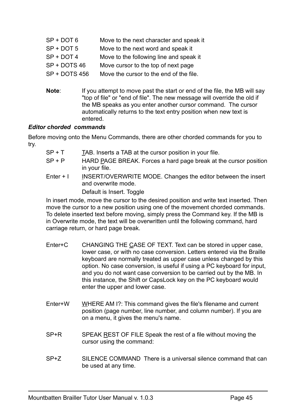| $SP + DOT 6$         | Move to the next character and speak it |
|----------------------|-----------------------------------------|
| $SP + DOT 5$         | Move to the next word and speak it      |
| $SP + DOT 4$         | Move to the following line and speak it |
| SP + DOTS 46         | Move cursor to the top of next page     |
| <b>SP + DOTS 456</b> | Move the cursor to the end of the file. |

**Note**: If you attempt to move past the start or end of the file, the MB will say "top of file" or "end of file". The new message will override the old if the MB speaks as you enter another cursor command. The cursor automatically returns to the text entry position when new text is entered.

#### <span id="page-45-0"></span>*Editor chorded commands*

Before moving onto the Menu Commands, there are other chorded commands for you to try.

| SP + T    | TAB. Inserts a TAB at the cursor position in your file.                             |
|-----------|-------------------------------------------------------------------------------------|
| $SP + P$  | HARD PAGE BREAK. Forces a hard page break at the cursor position<br>in your file.   |
| Enter + I | INSERT/OVERWRITE MODE. Changes the editor between the insert<br>and overwrite mode. |
|           | Default is Insert. Toggle                                                           |
|           |                                                                                     |

In insert mode, move the cursor to the desired position and write text inserted. Then move the cursor to a new position using one of the movement chorded commands. To delete inserted text before moving, simply press the Command key. If the MB is in Overwrite mode, the text will be overwritten until the following command, hard carriage return, or hard page break.

- Enter+C CHANGING THE CASE OF TEXT. Text can be stored in upper case, lower case, or with no case conversion. Letters entered via the Braille keyboard are normally treated as upper case unless changed by this option. No case conversion, is useful if using a PC keyboard for input, and you do not want case conversion to be carried out by the MB. In this instance, the Shift or CapsLock key on the PC keyboard would enter the upper and lower case.
- Enter+W WHERE AM I?: This command gives the file's filename and current position (page number, line number, and column number). If you are on a menu, it gives the menu's name.
- SP+R SPEAK REST OF FILE Speak the rest of a file without moving the cursor using the command:
- SP+Z SILENCE COMMAND There is a universal silence command that can be used at any time.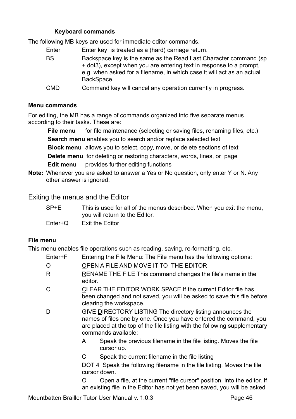#### <span id="page-46-0"></span>**Keyboard commands**

The following MB keys are used for immediate editor commands.

- Enter Enter key is treated as a (hard) carriage return.
- BS Backspace key is the same as the Read Last Character command (sp + dot3), except when you are entering text in response to a prompt, e.g. when asked for a filename, in which case it will act as an actual BackSpace.
- CMD Command key will cancel any operation currently in progress.

#### <span id="page-46-1"></span>**Menu commands**

For editing, the MB has a range of commands organized into five separate menus according to their tasks. These are:

**File menu** for file maintenance (selecting or saving files, renaming files, etc.) **Search menu** enables you to search and/or replace selected text

**Block menu** allows you to select, copy, move, or delete sections of text

**Delete menu** for deleting or restoring characters, words, lines, or page **Edit menu** provides further editing functions

**Note:** Whenever you are asked to answer a Yes or No question, only enter Y or N. Any other answer is ignored.

<span id="page-46-2"></span>Exiting the menus and the Editor

| SP+E | This is used for all of the menus described. When you exit the menu, |
|------|----------------------------------------------------------------------|
|      | you will return to the Editor.                                       |

Enter+Q Exit the Editor

#### **File menu**

This menu enables file operations such as reading, saving, re-formatting, etc.

- Enter+F Entering the File Menu: The File menu has the following options:
- O OPEN A FILE AND MOVE IT TO THE EDITOR
- R RENAME THE FILE This command changes the file's name in the editor.
- C CLEAR THE EDITOR WORK SPACE If the current Editor file has been changed and not saved, you will be asked to save this file before clearing the workspace.
- D GIVE DIRECTORY LISTING The directory listing announces the names of files one by one. Once you have entered the command, you are placed at the top of the file listing with the following supplementary commands available:
	- A Speak the previous filename in the file listing. Moves the file cursor up.
	- C Speak the current filename in the file listing

DOT 4 Speak the following filename in the file listing. Moves the file cursor down.

O Open a file, at the current "file cursor" position, into the editor. If an existing file in the Editor has not yet been saved, you will be asked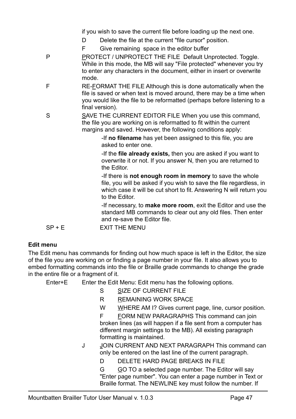if you wish to save the current file before loading up the next one.

- D Delete the file at the current "file cursor" position.
- F Give remaining space in the editor buffer
- P PROTECT / UNPROTECT THE FILE Default Unprotected. Toggle. While in this mode, the MB will say "File protected" whenever you try to enter any characters in the document, either in insert or overwrite mode.
- F RE-FORMAT THE FILE Although this is done automatically when the file is saved or when text is moved around, there may be a time when you would like the file to be reformatted (perhaps before listening to a final version).
- S SAVE THE CURRENT EDITOR FILE When you use this command, the file you are working on is reformatted to fit within the current margins and saved. However, the following conditions apply:

-If **no filename** has yet been assigned to this file, you are asked to enter one.

-If the **file already exists,** then you are asked if you want to overwrite it or not. If you answer N, then you are returned to the Editor.

-If there is **not enough room in memory** to save the whole file, you will be asked if you wish to save the file regardless, in which case it will be cut short to fit. Answering N will return you to the Editor.

-If necessary, to **make more room**, exit the Editor and use the standard MB commands to clear out any old files. Then enter and re-save the Editor file.

 $SP + F$  FXIT THE MENU

#### **Edit menu**

The Edit menu has commands for finding out how much space is left in the Editor, the size of the file you are working on or finding a page number in your file. It also allows you to embed formatting commands into the file or Braille grade commands to change the grade in the entire file or a fragment of it.

Enter+E Enter the Edit Menu: Edit menu has the following options.

- S SIZE OF CURRENT FILE
- R REMAINING WORK SPACE
- W WHERE AM I? Gives current page, line, cursor position.

F FORM NEW PARAGRAPHS This command can join broken lines (as will happen if a file sent from a computer has different margin settings to the MB). All existing paragraph formatting is maintained.

J JOIN CURRENT AND NEXT PARAGRAPH This command can only be entered on the last line of the current paragraph.

D DELETE HARD PAGE BREAKS IN FILE

G GO TO a selected page number. The Editor will say "Enter page number". You can enter a page number in Text or Braille format. The NEWLINE key must follow the number. If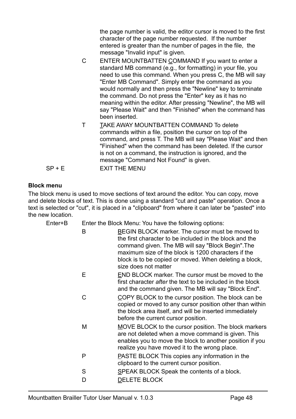the page number is valid, the editor cursor is moved to the first character of the page number requested. If the number entered is greater than the number of pages in the file, the message "Invalid input" is given.

- C ENTER MOUNTBATTEN COMMAND If you want to enter a standard MB command (e.g., for formatting) in your file, you need to use this command. When you press C, the MB will say "Enter MB Command". Simply enter the command as you would normally and then press the "Newline" key to terminate the command. Do not press the "Enter" key as it has no meaning within the editor. After pressing "Newline", the MB will say "Please Wait" and then "Finished" when the command has been inserted.
- T TAKE AWAY MOUNTBATTEN COMMAND To delete commands within a file, position the cursor on top of the command, and press T. The MB will say "Please Wait" and then "Finished" when the command has been deleted. If the cursor is not on a command, the instruction is ignored, and the message "Command Not Found" is given.

#### **Block menu**

The block menu is used to move sections of text around the editor. You can copy, move and delete blocks of text. This is done using a standard "cut and paste" operation. Once a text is selected or "cut", it is placed in a "clipboard" from where it can later be "pasted" into the new location.

| Enter+B |    | Enter the Block Menu: You have the following options:                                                                                                                                                                                                                                                    |  |  |
|---------|----|----------------------------------------------------------------------------------------------------------------------------------------------------------------------------------------------------------------------------------------------------------------------------------------------------------|--|--|
|         | B  | BEGIN BLOCK marker. The cursor must be moved to<br>the first character to be included in the block and the<br>command given. The MB will say "Block Begin". The<br>maximum size of the block is 1200 characters if the<br>block is to be copied or moved. When deleting a block,<br>size does not matter |  |  |
|         | E. | END BLOCK marker. The cursor must be moved to the<br>first character after the text to be included in the block<br>and the command given. The MB will say "Block End".                                                                                                                                   |  |  |
|         | C  | COPY BLOCK to the cursor position. The block can be<br>copied or moved to any cursor position other than within<br>the block area itself, and will be inserted immediately<br>before the current cursor position.                                                                                        |  |  |
|         | M  | MOVE BLOCK to the cursor position. The block markers<br>are not deleted when a move command is given. This<br>enables you to move the block to another position if you<br>realize you have moved it to the wrong place.                                                                                  |  |  |
|         | P  | <b>PASTE BLOCK This copies any information in the</b><br>clipboard to the current cursor position.                                                                                                                                                                                                       |  |  |
|         | S  | SPEAK BLOCK Speak the contents of a block.                                                                                                                                                                                                                                                               |  |  |
|         | D  | <b>DELETE BLOCK</b>                                                                                                                                                                                                                                                                                      |  |  |
|         |    |                                                                                                                                                                                                                                                                                                          |  |  |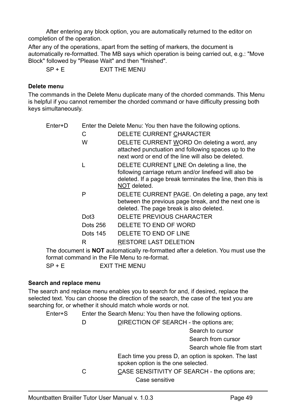After entering any block option, you are automatically returned to the editor on completion of the operation.

After any of the operations, apart from the setting of markers, the document is automatically re-formatted. The MB says which operation is being carried out, e.g.: "Move Block" followed by "Please Wait" and then "finished".

 $SP + E$  EXIT THE MENU

#### **Delete menu**

The commands in the Delete Menu duplicate many of the chorded commands. This Menu is helpful if you cannot remember the chorded command or have difficulty pressing both keys simultaneously.

| Enter+D |                  | Enter the Delete Menu: You then have the following options.                                                                                                                         |
|---------|------------------|-------------------------------------------------------------------------------------------------------------------------------------------------------------------------------------|
|         | С                | DELETE CURRENT CHARACTER                                                                                                                                                            |
|         | W                | DELETE CURRENT WORD On deleting a word, any<br>attached punctuation and following spaces up to the<br>next word or end of the line will also be deleted.                            |
|         |                  | DELETE CURRENT LINE On deleting a line, the<br>following carriage return and/or linefeed will also be<br>deleted. If a page break terminates the line, then this is<br>NOT deleted. |
|         | P                | DELETE CURRENT PAGE. On deleting a page, any text<br>between the previous page break, and the next one is<br>deleted. The page break is also deleted.                               |
|         | Dot <sub>3</sub> | DELETE PREVIOUS CHARACTER                                                                                                                                                           |
|         | Dots 256         | DELETE TO END OF WORD                                                                                                                                                               |
|         | Dots 145         | DELETE TO END OF LINE                                                                                                                                                               |
|         | R                | <b>RESTORE LAST DELETION</b>                                                                                                                                                        |
|         |                  |                                                                                                                                                                                     |

The document is **NOT** automatically re-formatted after a deletion. You must use the format command in the File Menu to re-format.

SP + E EXIT THE MENU

#### **Search and replace menu**

The search and replace menu enables you to search for and, if desired, replace the selected text. You can choose the direction of the search, the case of the text you are searching for, or whether it should match whole words or not.

Enter+S Enter the Search Menu: You then have the following options.

D DIRECTION OF SEARCH - the options are;

Search to cursor

Search from cursor

Search whole file from start

Each time you press D, an option is spoken. The last spoken option is the one selected.

C CASE SENSITIVITY OF SEARCH - the options are; Case sensitive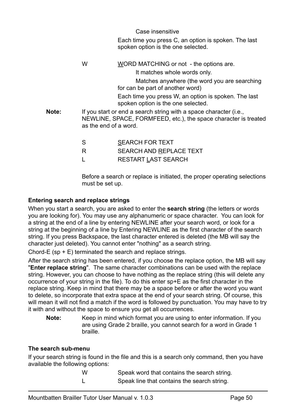Case insensitive

Each time you press C, an option is spoken. The last spoken option is the one selected.

W WORD MATCHING or not - the options are. It matches whole words only. Matches anywhere (the word you are searching for can be part of another word) Each time you press W, an option is spoken. The last spoken option is the one selected. **Note:** If you start or end a search string with a space character (i.e., NEWLINE, SPACE, FORMFEED, etc.), the space character is treated as the end of a word. S SEARCH FOR TEXT R SEARCH AND REPLACE TEXT L RESTART LAST SEARCH

Before a search or replace is initiated, the proper operating selections must be set up.

#### **Entering search and replace strings**

When you start a search, you are asked to enter the **search string** (the letters or words you are looking for). You may use any alphanumeric or space character. You can look for a string at the end of a line by entering NEWLINE after your search word, or look for a string at the beginning of a line by Entering NEWLINE as the first character of the search string. If you press Backspace, the last character entered is deleted (the MB will say the character just deleted). You cannot enter "nothing" as a search string.

Chord-E (sp + E) terminated the search and replace strings.

After the search string has been entered, if you choose the replace option, the MB will say "**Enter replace string**". The same character combinations can be used with the replace string. However, you can choose to have nothing as the replace string (this will delete any occurrence of your string in the file). To do this enter sp+E as the first character in the replace string. Keep in mind that there may be a space before or after the word you want to delete, so incorporate that extra space at the end of your search string. Of course, this will mean it will not find a match if the word is followed by punctuation. You may have to try it with and without the space to ensure you get all occurrences.

**Note:** Keep in mind which format you are using to enter information. If you are using Grade 2 braille, you cannot search for a word in Grade 1 braille.

#### **The search sub-menu**

If your search string is found in the file and this is a search only command, then you have available the following options:

> W Speak word that contains the search string. L Speak line that contains the search string.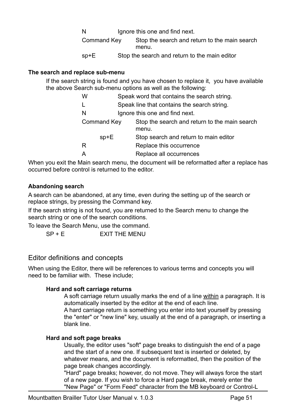N Ignore this one and find next.

Command Key Stop the search and return to the main search menu.

sp+E Stop the search and return to the main editor

#### **The search and replace sub-menu**

If the search string is found and you have chosen to replace it, you have available the above Search sub-menu options as well as the following:

| W                  | Speak word that contains the search string.            |  |
|--------------------|--------------------------------------------------------|--|
|                    | Speak line that contains the search string.            |  |
| N                  | Ignore this one and find next.                         |  |
| <b>Command Key</b> | Stop the search and return to the main search<br>menu. |  |
| $sp+E$             | Stop search and return to main editor                  |  |
| R                  | Replace this occurrence                                |  |
|                    | Replace all occurrences                                |  |

When you exit the Main search menu, the document will be reformatted after a replace has occurred before control is returned to the editor.

#### **Abandoning search**

A search can be abandoned, at any time, even during the setting up of the search or replace strings, by pressing the Command key.

If the search string is not found, you are returned to the Search menu to change the search string or one of the search conditions.

To leave the Search Menu, use the command.  $SP + E$  EXIT THE MENU

#### <span id="page-51-0"></span>Editor definitions and concepts

When using the Editor, there will be references to various terms and concepts you will need to be familiar with. These include;

#### **Hard and soft carriage returns**

A soft carriage return usually marks the end of a line within a paragraph. It is automatically inserted by the editor at the end of each line.

A hard carriage return is something you enter into text yourself by pressing the "enter" or "new line" key, usually at the end of a paragraph, or inserting a blank line.

#### **Hard and soft page breaks**

Usually, the editor uses "soft" page breaks to distinguish the end of a page and the start of a new one. If subsequent text is inserted or deleted, by whatever means, and the document is reformatted, then the position of the page break changes accordingly.

"Hard" page breaks; however, do not move. They will always force the start of a new page. If you wish to force a Hard page break, merely enter the "New Page" or "Form Feed" character from the MB keyboard or Control-L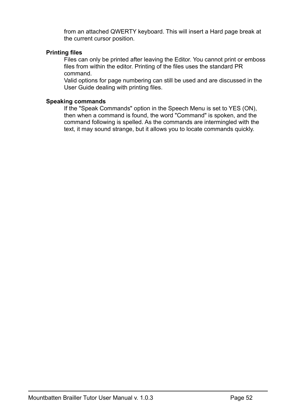from an attached QWERTY keyboard. This will insert a Hard page break at the current cursor position.

#### **Printing files**

Files can only be printed after leaving the Editor. You cannot print or emboss files from within the editor. Printing of the files uses the standard PR command.

Valid options for page numbering can still be used and are discussed in the User Guide dealing with printing files.

#### **Speaking commands**

If the "Speak Commands" option in the Speech Menu is set to YES (ON), then when a command is found, the word "Command" is spoken, and the command following is spelled. As the commands are intermingled with the text, it may sound strange, but it allows you to locate commands quickly.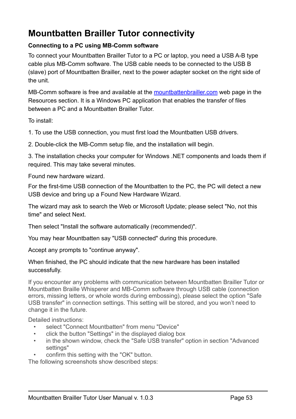# <span id="page-53-0"></span>**Mountbatten Brailler Tutor connectivity**

#### <span id="page-53-1"></span>**Connecting to a PC using MB-Comm software**

To connect your Mountbatten Brailler Tutor to a PC or laptop, you need a USB A-B type cable plus MB-Comm software. The USB cable needs to be connected to the USB B (slave) port of Mountbatten Brailler, next to the power adapter socket on the right side of the unit.

MB-Comm software is free and available at the [mountbattenbrailler.com](http://mountbattenbrailler.com) web page in the Resources section. It is a Windows PC application that enables the transfer of files between a PC and a Mountbatten Brailler Tutor.

To install:

1. To use the USB connection, you must first load the Mountbatten USB drivers.

2. Double-click the MB-Comm setup file, and the installation will begin.

3. The installation checks your computer for Windows .NET components and loads them if required. This may take several minutes.

<span id="page-53-2"></span>Found new hardware wizard.

For the first-time USB connection of the Mountbatten to the PC, the PC will detect a new USB device and bring up a Found New Hardware Wizard.

The wizard may ask to search the Web or Microsoft Update; please select "No, not this time" and select Next.

Then select "Install the software automatically (recommended)".

You may hear Mountbatten say "USB connected" during this procedure.

Accept any prompts to "continue anyway".

When finished, the PC should indicate that the new hardware has been installed successfully.

If you encounter any problems with communication between Mountbatten Brailler Tutor or Mountbatten Braille Whisperer and MB-Comm software through USB cable (connection errors, missing letters, or whole words during embossing), please select the option "Safe USB transfer" in connection settings. This setting will be stored, and you won't need to change it in the future.

Detailed instructions:

- select "Connect Mountbatten" from menu "Device"
- click the button "Settings" in the displayed dialog box
- in the shown window, check the "Safe USB transfer" option in section "Advanced settings"
- confirm this setting with the "OK" button.

The following screenshots show described steps: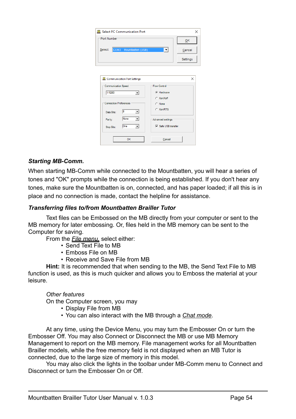| Select PC Communication Port<br>×                                   |                            |  |
|---------------------------------------------------------------------|----------------------------|--|
| Port Number<br>QK                                                   |                            |  |
| COM3 Mountbatten (USB)<br>Select:<br>$\blacktriangledown$<br>Cancel |                            |  |
|                                                                     | Settings                   |  |
|                                                                     |                            |  |
| Communication Port Settings                                         | $\times$                   |  |
| <b>Communication Speed</b>                                          | <b>Flow Control</b>        |  |
| 115200<br>▾╎                                                        | <b>G</b> Hardware          |  |
|                                                                     | C Xon/Xoff                 |  |
| <b>Connection Preferences</b>                                       | C None                     |  |
| l8<br>▾<br>Data Bits:                                               | C Xon/RTS                  |  |
| None<br>Parity:                                                     | Advanced settings          |  |
| One<br>Stop Bits:                                                   | $\nabla$ Safe USB transfer |  |
| OK                                                                  | Cancel                     |  |

#### <span id="page-54-0"></span>*Starting MB-Comm.*

When starting MB-Comm while connected to the Mountbatten, you will hear a series of tones and "OK" prompts while the connection is being established. If you don't hear any tones, make sure the Mountbatten is on, connected, and has paper loaded; if all this is in place and no connection is made, contact the helpline for assistance.

#### <span id="page-54-1"></span>*Transferring files to/from Mountbatten Brailler Tutor*

Text files can be Embossed on the MB directly from your computer or sent to the MB memory for later embossing. Or, files held in the MB memory can be sent to the Computer for saving.

From the *File menu,* select either:

- Send Text File to MB
- Emboss File on MB
- Receive and Save File from MB

**Hint:** It is recommended that when sending to the MB, the Send Text File to MB function is used, as this is much quicker and allows you to Emboss the material at your leisure.

#### *Other features*

On the Computer screen, you may

- Display File from MB
- You can also interact with the MB through a *Chat mode*.

At any time, using the Device Menu, you may turn the Embosser On or turn the Embosser Off. You may also Connect or Disconnect the MB or use MB Memory Management to report on the MB memory. File management works for all Mountbatten Brailler models, while the free memory field is not displayed when an MB Tutor is connected, due to the large size of memory in this model.

You may also click the lights in the toolbar under MB-Comm menu to Connect and Disconnect or turn the Embosser On or Off.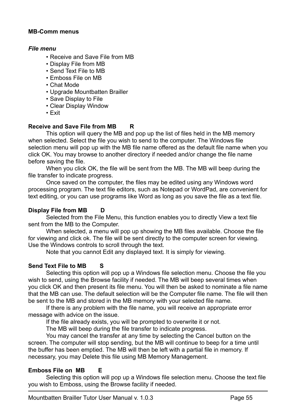#### <span id="page-55-0"></span>**MB-Comm menus**

#### <span id="page-55-1"></span>*File menu*

- Receive and Save File from MB
- Display File from MB
- Send Text File to MB
- Emboss File on MB
- Chat Mode
- Upgrade Mountbatten Brailler
- Save Display to File
- Clear Display Window
- Exit

#### **Receive and Save File from MB R**

This option will query the MB and pop up the list of files held in the MB memory when selected. Select the file you wish to send to the computer. The Windows file selection menu will pop up with the MB file name offered as the default file name when you click OK. You may browse to another directory if needed and/or change the file name before saving the file.

When you click OK, the file will be sent from the MB. The MB will beep during the file transfer to indicate progress.

Once saved on the computer, the files may be edited using any Windows word processing program. The text file editors, such as Notepad or WordPad, are convenient for text editing, or you can use programs like Word as long as you save the file as a text file.

#### **Display File from MB D**

Selected from the File Menu, this function enables you to directly View a text file sent from the MB to the Computer.

When selected, a menu will pop up showing the MB files available. Choose the file for viewing and click ok. The file will be sent directly to the computer screen for viewing. Use the Windows controls to scroll through the text.

Note that you cannot Edit any displayed text. It is simply for viewing.

#### **Send Text File to MB S**

Selecting this option will pop up a Windows file selection menu. Choose the file you wish to send, using the Browse facility if needed. The MB will beep several times when you click OK and then present its file menu. You will then be asked to nominate a file name that the MB can use. The default selection will be the Computer file name. The file will then be sent to the MB and stored in the MB memory with your selected file name.

If there is any problem with the file name, you will receive an appropriate error message with advice on the issue.

If the file already exists, you will be prompted to overwrite it or not.

The MB will beep during the file transfer to indicate progress.

You may cancel the transfer at any time by selecting the Cancel button on the screen. The computer will stop sending, but the MB will continue to beep for a time until the buffer has been emptied. The MB will then be left with a partial file in memory. If necessary, you may Delete this file using MB Memory Management.

#### **Emboss File on MB E**

Selecting this option will pop up a Windows file selection menu. Choose the text file you wish to Emboss, using the Browse facility if needed.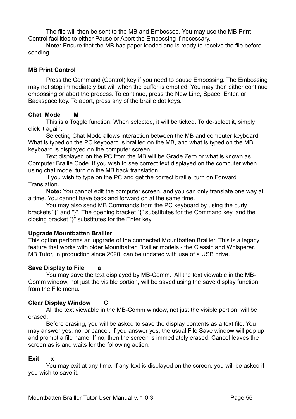The file will then be sent to the MB and Embossed. You may use the MB Print Control facilities to either Pause or Abort the Embossing if necessary.

**Note:** Ensure that the MB has paper loaded and is ready to receive the file before sending.

#### <span id="page-56-0"></span>**MB Print Control**

Press the Command (Control) key if you need to pause Embossing. The Embossing may not stop immediately but will when the buffer is emptied. You may then either continue embossing or abort the process. To continue, press the New Line, Space, Enter, or Backspace key. To abort, press any of the braille dot keys.

#### **Chat Mode M**

This is a Toggle function. When selected, it will be ticked. To de-select it, simply click it again.

Selecting Chat Mode allows interaction between the MB and computer keyboard. What is typed on the PC keyboard is brailled on the MB, and what is typed on the MB keyboard is displayed on the computer screen.

Text displayed on the PC from the MB will be Grade Zero or what is known as Computer Braille Code. If you wish to see correct text displayed on the computer when using chat mode, turn on the MB back translation.

If you wish to type on the PC and get the correct braille, turn on Forward **Translation** 

**Note:** You cannot edit the computer screen, and you can only translate one way at a time. You cannot have back and forward on at the same time.

You may also send MB Commands from the PC keyboard by using the curly brackets "{" and "}". The opening bracket "{" substitutes for the Command key, and the closing bracket "}" substitutes for the Enter key.

#### **Upgrade Mountbatten Brailler**

This option performs an upgrade of the connected Mountbatten Brailler. This is a legacy feature that works with older Mountbatten Brailler models - the Classic and Whisperer. MB Tutor, in production since 2020, can be updated with use of a USB drive.

#### **Save Display to File a**

You may save the text displayed by MB-Comm. All the text viewable in the MB-Comm window, not just the visible portion, will be saved using the save display function from the File menu.

#### **Clear Display Window C**

All the text viewable in the MB-Comm window, not just the visible portion, will be erased.

Before erasing, you will be asked to save the display contents as a text file. You may answer yes, no, or cancel. If you answer yes, the usual File Save window will pop up and prompt a file name. If no, then the screen is immediately erased. Cancel leaves the screen as is and waits for the following action.

#### **Exit x**

You may exit at any time. If any text is displayed on the screen, you will be asked if you wish to save it.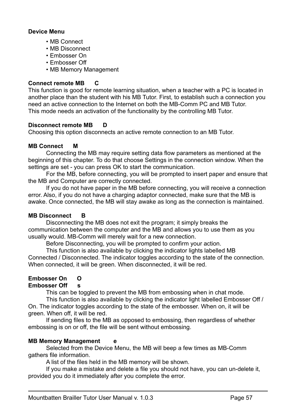#### <span id="page-57-0"></span>**Device Menu**

- MB Connect
- MB Disconnect
- Embosser On
- Embosser Off
- MB Memory Management

#### **Connect remote MB C**

This function is good for remote learning situation, when a teacher with a PC is located in another place than the student with his MB Tutor. First, to establish such a connection you need an active connection to the Internet on both the MB-Comm PC and MB Tutor. This mode needs an activation of the functionality by the controlling MB Tutor.

#### **Disconnect remote MB D**

Choosing this option disconnects an active remote connection to an MB Tutor.

#### **MB Connect M**

Connecting the MB may require setting data flow parameters as mentioned at the beginning of this chapter. To do that choose Settings in the connection window. When the settings are set - you can press OK to start the communication.

For the MB, before connecting, you will be prompted to insert paper and ensure that the MB and Computer are correctly connected.

If you do not have paper in the MB before connecting, you will receive a connection error. Also, if you do not have a charging adaptor connected, make sure that the MB is awake. Once connected, the MB will stay awake as long as the connection is maintained.

#### **MB Disconnect B**

Disconnecting the MB does not exit the program; it simply breaks the communication between the computer and the MB and allows you to use them as you usually would. MB-Comm will merely wait for a new connection.

Before Disconnecting, you will be prompted to confirm your action.

This function is also available by clicking the indicator lights labelled MB

Connected / Disconnected. The indicator toggles according to the state of the connection. When connected, it will be green. When disconnected, it will be red.

#### **Embosser On O**

#### **Embosser Off s**

This can be toggled to prevent the MB from embossing when in chat mode.

This function is also available by clicking the indicator light labelled Embosser Off / On. The indicator toggles according to the state of the embosser. When on, it will be green. When off, it will be red.

If sending files to the MB as opposed to embossing, then regardless of whether embossing is on or off, the file will be sent without embossing.

#### **MB Memory Management e**

Selected from the Device Menu, the MB will beep a few times as MB-Comm gathers file information.

A list of the files held in the MB memory will be shown.

If you make a mistake and delete a file you should not have, you can un-delete it, provided you do it immediately after you complete the error.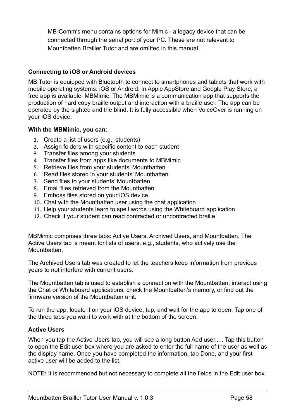MB-Comm's menu contains options for Mimic - a legacy device that can be connected through the serial port of your PC. These are not relevant to Mountbatten Brailler Tutor and are omitted in this manual.

#### <span id="page-58-0"></span>**Connecting to iOS or Android devices**

MB Tutor is equipped with Bluetooth to connect to smartphones and tablets that work with mobile operating systems: iOS or Android. In Apple AppStore and Google Play Store, a free app is available: MBMimic. The MBMimic is a communication app that supports the production of hard copy braille output and interaction with a braille user. The app can be operated by the sighted and the blind. It is fully accessible when VoiceOver is running on your iOS device.

#### <span id="page-58-1"></span>**With the MBMimic, you can:**

- 1. Create a list of users (e.g., students)
- 2. Assign folders with specific content to each student
- 3. Transfer files among your students
- 4. Transfer files from apps like documents to MBMimic
- 5. Retrieve files from your students' Mountbatten
- 6. Read files stored in your students' Mountbatten
- 7. Send files to your students' Mountbatten
- 8. Email files retrieved from the Mountbatten
- 9. Emboss files stored on your iOS device
- 10. Chat with the Mountbatten user using the chat application
- 11. Help your students learn to spell words using the Whiteboard application
- 12. Check if your student can read contracted or uncontracted braille

MBMimic comprises three tabs: Active Users, Archived Users, and Mountbatten. The Active Users tab is meant for lists of users, e.g., students, who actively use the Mountbatten.

The Archived Users tab was created to let the teachers keep information from previous years to not interfere with current users.

The Mountbatten tab is used to establish a connection with the Mountbatten, interact using the Chat or Whiteboard applications, check the Mountbatten's memory, or find out the firmware version of the Mountbatten unit.

To run the app, locate it on your iOS device, tap, and wait for the app to open. Tap one of the three tabs you want to work with at the bottom of the screen.

#### <span id="page-58-2"></span>**Active Users**

When you tap the Active Users tab, you will see a long button Add user... . Tap this button to open the Edit user box where you are asked to enter the full name of the user as well as the display name. Once you have completed the information, tap Done, and your first active user will be added to the list.

NOTE: It is recommended but not necessary to complete all the fields in the Edit user box.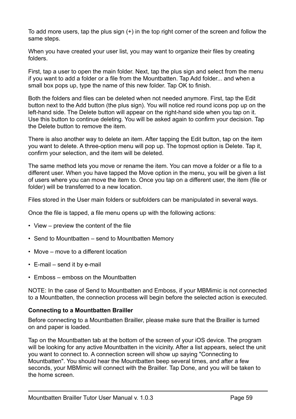To add more users, tap the plus sign  $(+)$  in the top right corner of the screen and follow the same steps.

When you have created your user list, you may want to organize their files by creating folders.

First, tap a user to open the main folder. Next, tap the plus sign and select from the menu if you want to add a folder or a file from the Mountbatten. Tap Add folder... and when a small box pops up, type the name of this new folder. Tap OK to finish.

Both the folders and files can be deleted when not needed anymore. First, tap the Edit button next to the Add button (the plus sign). You will notice red round icons pop up on the left-hand side. The Delete button will appear on the right-hand side when you tap on it. Use this button to continue deleting. You will be asked again to confirm your decision. Tap the Delete button to remove the item.

There is also another way to delete an item. After tapping the Edit button, tap on the item you want to delete. A three-option menu will pop up. The topmost option is Delete. Tap it, confirm your selection, and the item will be deleted.

The same method lets you move or rename the item. You can move a folder or a file to a different user. When you have tapped the Move option in the menu, you will be given a list of users where you can move the item to. Once you tap on a different user, the item (file or folder) will be transferred to a new location.

Files stored in the User main folders or subfolders can be manipulated in several ways.

Once the file is tapped, a file menu opens up with the following actions:

- View preview the content of the file
- Send to Mountbatten send to Mountbatten Memory
- Move move to a different location
- E-mail send it by e-mail
- Emboss emboss on the Mountbatten

NOTE: In the case of Send to Mountbatten and Emboss, if your MBMimic is not connected to a Mountbatten, the connection process will begin before the selected action is executed.

#### <span id="page-59-0"></span>**Connecting to a Mountbatten Brailler**

Before connecting to a Mountbatten Brailler, please make sure that the Brailler is turned on and paper is loaded.

Tap on the Mountbatten tab at the bottom of the screen of your iOS device. The program will be looking for any active Mountbatten in the vicinity. After a list appears, select the unit you want to connect to. A connection screen will show up saying "Connecting to Mountbatten". You should hear the Mountbatten beep several times, and after a few seconds, your MBMimic will connect with the Brailler. Tap Done, and you will be taken to the home screen.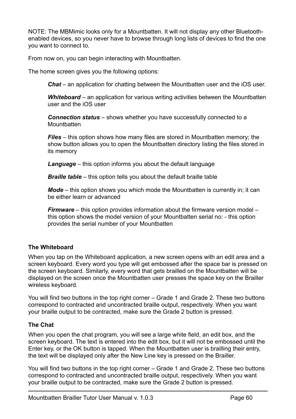NOTE: The MBMimic looks only for a Mountbatten. It will not display any other Bluetoothenabled devices, so you never have to browse through long lists of devices to find the one you want to connect to.

From now on, you can begin interacting with Mountbatten.

The home screen gives you the following options:

*Chat* – an application for chatting between the Mountbatten user and the iOS user.

*Whiteboard* – an application for various writing activities between the Mountbatten user and the iOS user

*Connection status* – shows whether you have successfully connected to a **Mountbatten** 

*Files* – this option shows how many files are stored in Mountbatten memory; the show button allows you to open the Mountbatten directory listing the files stored in its memory

*Language* – this option informs you about the default language

*Braille table* – this option tells you about the default braille table

*Mode* – this option shows you which mode the Mountbatten is currently in; it can be either learn or advanced

*Firmware* – this option provides information about the firmware version model – this option shows the model version of your Mountbatten serial no: - this option provides the serial number of your Mountbatten

#### <span id="page-60-0"></span>**The Whiteboard**

When you tap on the Whiteboard application, a new screen opens with an edit area and a screen keyboard. Every word you type will get embossed after the space bar is pressed on the screen keyboard. Similarly, every word that gets brailled on the Mountbatten will be displayed on the screen once the Mountbatten user presses the space key on the Brailler wireless keyboard.

You will find two buttons in the top right corner – Grade 1 and Grade 2. These two buttons correspond to contracted and uncontracted braille output, respectively. When you want your braille output to be contracted, make sure the Grade 2 button is pressed.

#### <span id="page-60-1"></span>**The Chat**

When you open the chat program, you will see a large white field, an edit box, and the screen keyboard. The text is entered into the edit box, but it will not be embossed until the Enter key, or the OK button is tapped. When the Mountbatten user is brailling their entry, the text will be displayed only after the New Line key is pressed on the Brailler.

You will find two buttons in the top right corner – Grade 1 and Grade 2. These two buttons correspond to contracted and uncontracted braille output, respectively. When you want your braille output to be contracted, make sure the Grade 2 button is pressed.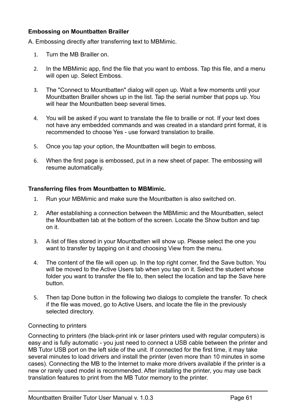#### <span id="page-61-0"></span>**Embossing on Mountbatten Brailler**

A. Embossing directly after transferring text to MBMimic.

- 1. Turn the MB Brailler on.
- 2. In the MBMimic app, find the file that you want to emboss. Tap this file, and a menu will open up. Select Emboss.
- 3. The "Connect to Mountbatten" dialog will open up. Wait a few moments until your Mountbatten Brailler shows up in the list. Tap the serial number that pops up. You will hear the Mountbatten beep several times.
- 4. You will be asked if you want to translate the file to braille or not. If your text does not have any embedded commands and was created in a standard print format, it is recommended to choose Yes - use forward translation to braille.
- 5. Once you tap your option, the Mountbatten will begin to emboss.
- 6. When the first page is embossed, put in a new sheet of paper. The embossing will resume automatically.

#### <span id="page-61-1"></span>**Transferring files from Mountbatten to MBMimic.**

- 1. Run your MBMimic and make sure the Mountbatten is also switched on.
- 2. After establishing a connection between the MBMimic and the Mountbatten, select the Mountbatten tab at the bottom of the screen. Locate the Show button and tap on it.
- 3. A list of files stored in your Mountbatten will show up. Please select the one you want to transfer by tapping on it and choosing View from the menu.
- 4. The content of the file will open up. In the top right corner, find the Save button. You will be moved to the Active Users tab when you tap on it. Select the student whose folder you want to transfer the file to, then select the location and tap the Save here button.
- 5. Then tap Done button in the following two dialogs to complete the transfer. To check if the file was moved, go to Active Users, and locate the file in the previously selected directory.

#### <span id="page-61-2"></span>Connecting to printers

Connecting to printers (the black-print ink or laser printers used with regular computers) is easy and is fully automatic - you just need to connect a USB cable between the printer and MB Tutor USB port on the left side of the unit. If connected for the first time, it may take several minutes to load drivers and install the printer (even more than 10 minutes in some cases). Connecting the MB to the Internet to make more drivers available if the printer is a new or rarely used model is recommended. After installing the printer, you may use back translation features to print from the MB Tutor memory to the printer.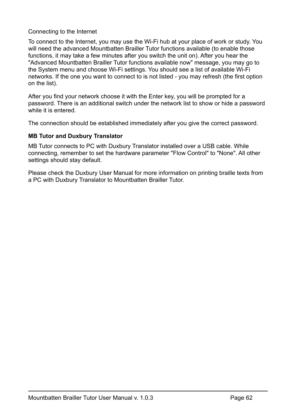#### <span id="page-62-0"></span>Connecting to the Internet

To connect to the Internet, you may use the Wi-Fi hub at your place of work or study. You will need the advanced Mountbatten Brailler Tutor functions available (to enable those functions, it may take a few minutes after you switch the unit on). After you hear the "Advanced Mountbatten Brailler Tutor functions available now" message, you may go to the System menu and choose Wi-Fi settings. You should see a list of available Wi-Fi networks. If the one you want to connect to is not listed - you may refresh (the first option on the list).

After you find your network choose it with the Enter key, you will be prompted for a password. There is an additional switch under the network list to show or hide a password while it is entered.

The connection should be established immediately after you give the correct password.

#### <span id="page-62-1"></span>**MB Tutor and Duxbury Translator**

MB Tutor connects to PC with Duxbury Translator installed over a USB cable. While connecting, remember to set the hardware parameter "Flow Control" to "None". All other settings should stay default.

Please check the Duxbury User Manual for more information on printing braille texts from a PC with Duxbury Translator to Mountbatten Brailler Tutor.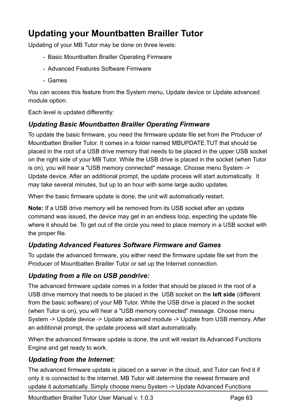# <span id="page-63-0"></span>**Updating your Mountbatten Brailler Tutor**

Updating of your MB Tutor may be done on three levels:

- Basic Mountbatten Brailler Operating Firmware
- Advanced Features Software Firmware
- Games

You can access this feature from the System menu, Update device or Update advanced module option.

Each level is updated differently:

# <span id="page-63-1"></span>*Updating Basic Mountbatten Brailler Operating Firmware*

To update the basic firmware, you need the firmware update file set from the Producer of Mountbatten Brailler Tutor. It comes in a folder named MBUPDATE.TUT that should be placed in the root of a USB drive memory that needs to be placed in the upper USB socket on the right side of your MB Tutor. While the USB drive is placed in the socket (when Tutor is on), you will hear a "USB memory connected" message. Choose menu System -> Update device. After an additional prompt, the update process will start automatically. It may take several minutes, but up to an hour with some large audio updates.

When the basic firmware update is done, the unit will automatically restart.

**Note:** If a USB drive memory will be removed from its USB socket after an update command was issued, the device may get in an endless loop, expecting the update file where it should be. To get out of the circle you need to place memory in a USB socket with the proper file.

# <span id="page-63-2"></span>*Updating Advanced Features Software Firmware and Games*

To update the advanced firmware, you either need the firmware update file set from the Producer of Mountbatten Brailler Tutor or set up the Internet connection.

# <span id="page-63-3"></span>*Updating from a file on USB pendrive:*

The advanced firmware update comes in a folder that should be placed in the root of a USB drive memory that needs to be placed in the USB socket on the **left side** (different from the basic software) of your MB Tutor. While the USB drive is placed in the socket (when Tutor is on), you will hear a "USB memory connected" message. Choose menu System -> Update device -> Update advanced module -> Update from USB memory. After an additional prompt, the update process will start automatically.

When the advanced firmware update is done, the unit will restart its Advanced Functions Engine and get ready to work.

# <span id="page-63-4"></span>*Updating from the Internet:*

The advanced firmware update is placed on a server in the cloud, and Tutor can find it if only it is connected to the internet. MB Tutor will determine the newest firmware and update it automatically. Simply choose menu System -> Update Advanced Functions

Mountbatten Brailler Tutor User Manual v. 1.0.3 Page 63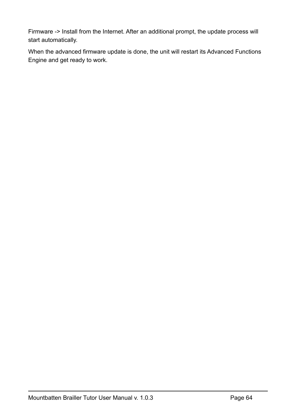Firmware -> Install from the Internet. After an additional prompt, the update process will start automatically.

When the advanced firmware update is done, the unit will restart its Advanced Functions Engine and get ready to work.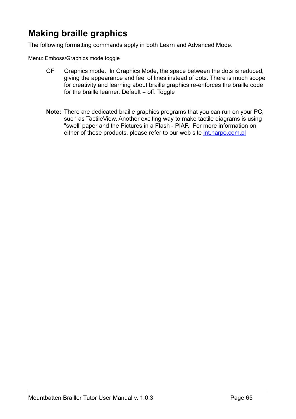# <span id="page-65-0"></span>**Making braille graphics**

The following formatting commands apply in both Learn and Advanced Mode.

Menu: Emboss/Graphics mode toggle

- GF Graphics mode. In Graphics Mode, the space between the dots is reduced, giving the appearance and feel of lines instead of dots. There is much scope for creativity and learning about braille graphics re-enforces the braille code for the braille learner. Default = off. Toggle
- **Note:** There are dedicated braille graphics programs that you can run on your PC, such as TactileView. Another exciting way to make tactile diagrams is using "swell' paper and the Pictures in a Flash - PIAF. For more information on either of these products, please refer to our web site [int.harpo.com.pl](http://int.harpo.com.pl)